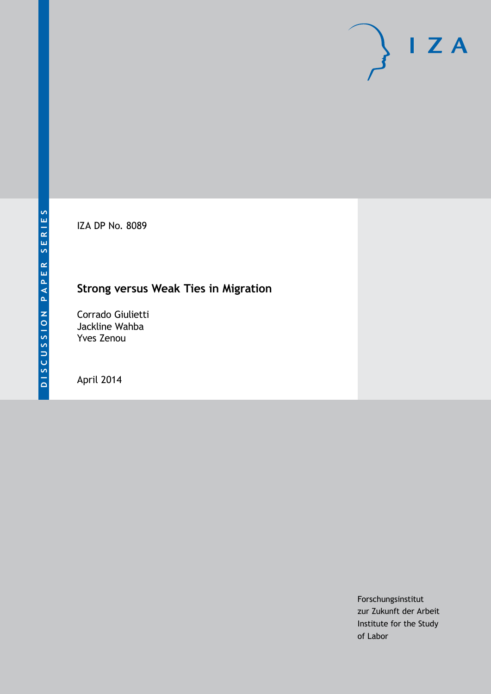IZA DP No. 8089

## **Strong versus Weak Ties in Migration**

Corrado Giulietti Jackline Wahba Yves Zenou

April 2014

Forschungsinstitut zur Zukunft der Arbeit Institute for the Study of Labor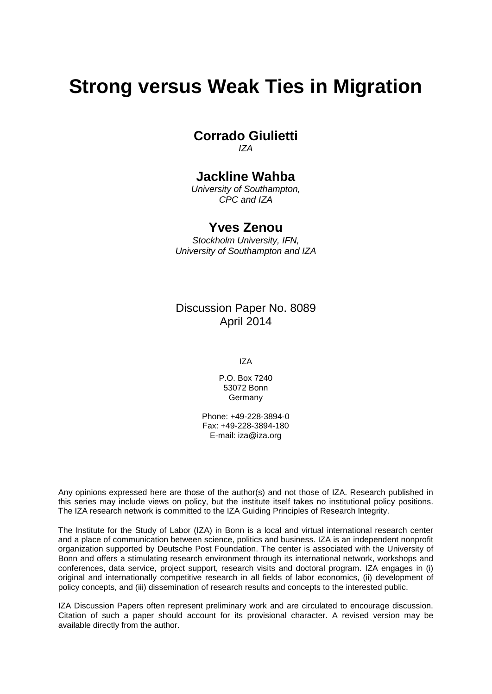# **Strong versus Weak Ties in Migration**

**Corrado Giulietti** *IZA*

## **Jackline Wahba**

*University of Southampton, CPC and IZA*

## **Yves Zenou**

*Stockholm University, IFN, University of Southampton and IZA*

Discussion Paper No. 8089 April 2014

IZA

P.O. Box 7240 53072 Bonn Germany

Phone: +49-228-3894-0 Fax: +49-228-3894-180 E-mail: [iza@iza.org](mailto:iza@iza.org)

Any opinions expressed here are those of the author(s) and not those of IZA. Research published in this series may include views on policy, but the institute itself takes no institutional policy positions. The IZA research network is committed to the IZA Guiding Principles of Research Integrity.

The Institute for the Study of Labor (IZA) in Bonn is a local and virtual international research center and a place of communication between science, politics and business. IZA is an independent nonprofit organization supported by Deutsche Post Foundation. The center is associated with the University of Bonn and offers a stimulating research environment through its international network, workshops and conferences, data service, project support, research visits and doctoral program. IZA engages in (i) original and internationally competitive research in all fields of labor economics, (ii) development of policy concepts, and (iii) dissemination of research results and concepts to the interested public.

<span id="page-1-0"></span>IZA Discussion Papers often represent preliminary work and are circulated to encourage discussion. Citation of such a paper should account for its provisional character. A revised version may be available directly from the author.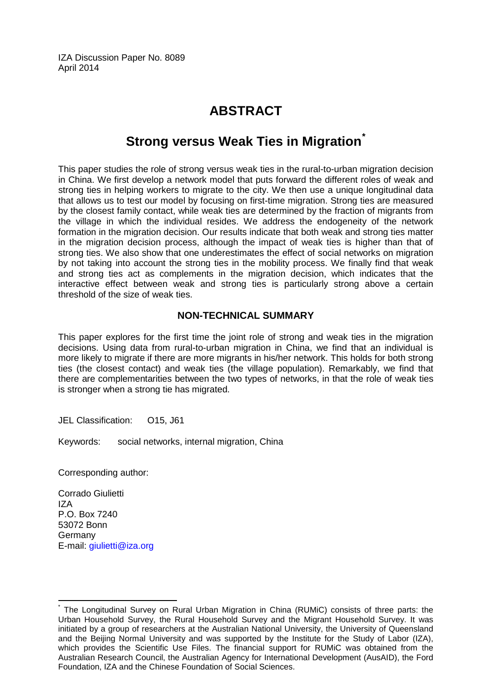IZA Discussion Paper No. 8089 April 2014

## **ABSTRACT**

## **Strong versus Weak Ties in Migration[\\*](#page-1-0)**

This paper studies the role of strong versus weak ties in the rural-to-urban migration decision in China. We first develop a network model that puts forward the different roles of weak and strong ties in helping workers to migrate to the city. We then use a unique longitudinal data that allows us to test our model by focusing on first-time migration. Strong ties are measured by the closest family contact, while weak ties are determined by the fraction of migrants from the village in which the individual resides. We address the endogeneity of the network formation in the migration decision. Our results indicate that both weak and strong ties matter in the migration decision process, although the impact of weak ties is higher than that of strong ties. We also show that one underestimates the effect of social networks on migration by not taking into account the strong ties in the mobility process. We finally find that weak and strong ties act as complements in the migration decision, which indicates that the interactive effect between weak and strong ties is particularly strong above a certain threshold of the size of weak ties.

#### **NON-TECHNICAL SUMMARY**

This paper explores for the first time the joint role of strong and weak ties in the migration decisions. Using data from rural-to-urban migration in China, we find that an individual is more likely to migrate if there are more migrants in his/her network. This holds for both strong ties (the closest contact) and weak ties (the village population). Remarkably, we find that there are complementarities between the two types of networks, in that the role of weak ties is stronger when a strong tie has migrated.

JEL Classification: O15, J61

Keywords: social networks, internal migration, China

Corresponding author:

Corrado Giulietti IZA P.O. Box 7240 53072 Bonn Germany E-mail: [giulietti@iza.org](mailto:giulietti@iza.org)

The Longitudinal Survey on Rural Urban Migration in China (RUMiC) consists of three parts: the Urban Household Survey, the Rural Household Survey and the Migrant Household Survey. It was initiated by a group of researchers at the Australian National University, the University of Queensland and the Beijing Normal University and was supported by the Institute for the Study of Labor (IZA), which provides the Scientific Use Files. The financial support for RUMiC was obtained from the Australian Research Council, the Australian Agency for International Development (AusAID), the Ford Foundation, IZA and the Chinese Foundation of Social Sciences.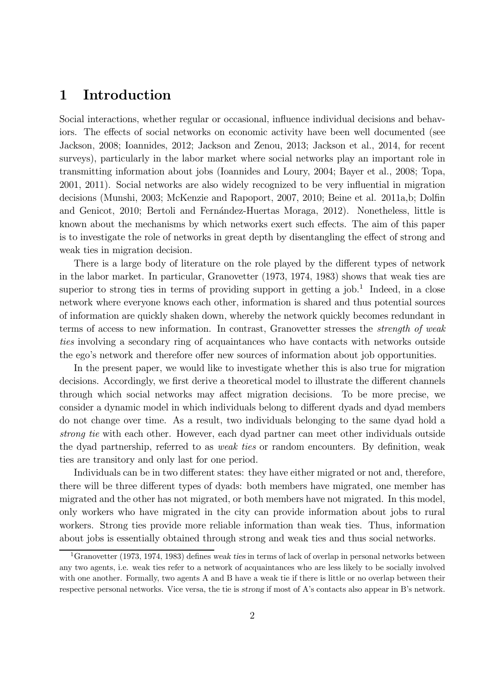## 1 Introduction

Social interactions, whether regular or occasional, influence individual decisions and behaviors. The effects of social networks on economic activity have been well documented (see Jackson, 2008; Ioannides, 2012; Jackson and Zenou, 2013; Jackson et al., 2014, for recent surveys), particularly in the labor market where social networks play an important role in transmitting information about jobs (Ioannides and Loury, 2004; Bayer et al., 2008; Topa, 2001, 2011). Social networks are also widely recognized to be very influential in migration decisions (Munshi, 2003; McKenzie and Rapoport, 2007, 2010; Beine et al. 2011a,b; Dolfin and Genicot, 2010; Bertoli and Fernández-Huertas Moraga, 2012). Nonetheless, little is known about the mechanisms by which networks exert such effects. The aim of this paper is to investigate the role of networks in great depth by disentangling the effect of strong and weak ties in migration decision.

There is a large body of literature on the role played by the different types of network in the labor market. In particular, Granovetter (1973, 1974, 1983) shows that weak ties are superior to strong ties in terms of providing support in getting a job.<sup>1</sup> Indeed, in a close network where everyone knows each other, information is shared and thus potential sources of information are quickly shaken down, whereby the network quickly becomes redundant in terms of access to new information. In contrast, Granovetter stresses the strength of weak ties involving a secondary ring of acquaintances who have contacts with networks outside the ego's network and therefore offer new sources of information about job opportunities.

In the present paper, we would like to investigate whether this is also true for migration decisions. Accordingly, we first derive a theoretical model to illustrate the different channels through which social networks may affect migration decisions. To be more precise, we consider a dynamic model in which individuals belong to different dyads and dyad members do not change over time. As a result, two individuals belonging to the same dyad hold a strong tie with each other. However, each dyad partner can meet other individuals outside the dyad partnership, referred to as weak ties or random encounters. By definition, weak ties are transitory and only last for one period.

Individuals can be in two different states: they have either migrated or not and, therefore, there will be three different types of dyads: both members have migrated, one member has migrated and the other has not migrated, or both members have not migrated. In this model, only workers who have migrated in the city can provide information about jobs to rural workers. Strong ties provide more reliable information than weak ties. Thus, information about jobs is essentially obtained through strong and weak ties and thus social networks.

<sup>&</sup>lt;sup>1</sup>Granovetter (1973, 1974, 1983) defines weak ties in terms of lack of overlap in personal networks between any two agents, i.e. weak ties refer to a network of acquaintances who are less likely to be socially involved with one another. Formally, two agents A and B have a weak tie if there is little or no overlap between their respective personal networks. Vice versa, the tie is strong if most of A's contacts also appear in B's network.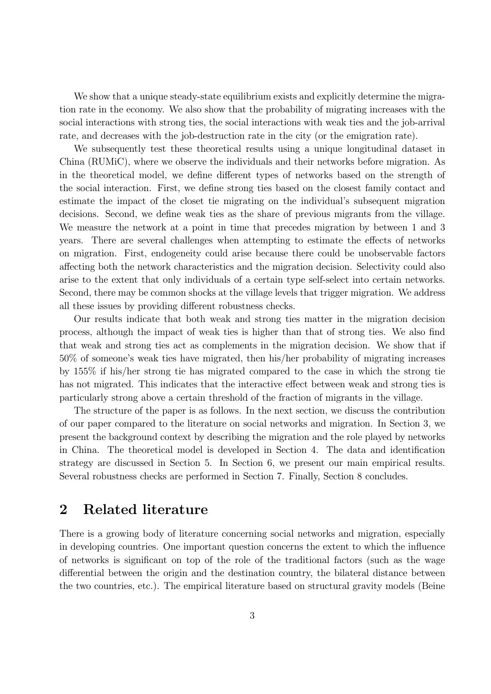We show that a unique steady-state equilibrium exists and explicitly determine the migration rate in the economy. We also show that the probability of migrating increases with the social interactions with strong ties, the social interactions with weak ties and the job-arrival rate, and decreases with the job-destruction rate in the city (or the emigration rate).

We subsequently test these theoretical results using a unique longitudinal dataset in China (RUMiC), where we observe the individuals and their networks before migration. As in the theoretical model, we define different types of networks based on the strength of the social interaction. First, we define strong ties based on the closest family contact and estimate the impact of the closet tie migrating on the individual's subsequent migration decisions. Second, we define weak ties as the share of previous migrants from the village. We measure the network at a point in time that precedes migration by between 1 and 3 years. There are several challenges when attempting to estimate the effects of networks on migration. First, endogeneity could arise because there could be unobservable factors affecting both the network characteristics and the migration decision. Selectivity could also arise to the extent that only individuals of a certain type self-select into certain networks. Second, there may be common shocks at the village levels that trigger migration. We address all these issues by providing different robustness checks.

Our results indicate that both weak and strong ties matter in the migration decision process, although the impact of weak ties is higher than that of strong ties. We also find that weak and strong ties act as complements in the migration decision. We show that if 50% of someone's weak ties have migrated, then his/her probability of migrating increases by 155% if his/her strong tie has migrated compared to the case in which the strong tie has not migrated. This indicates that the interactive effect between weak and strong ties is particularly strong above a certain threshold of the fraction of migrants in the village.

The structure of the paper is as follows. In the next section, we discuss the contribution of our paper compared to the literature on social networks and migration. In Section 3, we present the background context by describing the migration and the role played by networks in China. The theoretical model is developed in Section 4. The data and identification strategy are discussed in Section 5. In Section 6, we present our main empirical results. Several robustness checks are performed in Section 7. Finally, Section 8 concludes.

### 2 Related literature

There is a growing body of literature concerning social networks and migration, especially in developing countries. One important question concerns the extent to which the influence of networks is significant on top of the role of the traditional factors (such as the wage differential between the origin and the destination country, the bilateral distance between the two countries, etc.). The empirical literature based on structural gravity models (Beine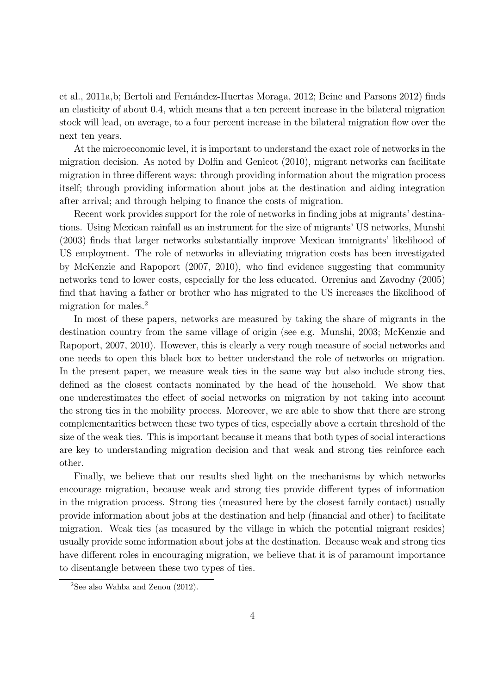et al., 2011a, b; Bertoli and Fernández-Huertas Moraga, 2012; Beine and Parsons 2012) finds an elasticity of about 0.4, which means that a ten percent increase in the bilateral migration stock will lead, on average, to a four percent increase in the bilateral migration flow over the next ten years.

At the microeconomic level, it is important to understand the exact role of networks in the migration decision. As noted by Dolfin and Genicot (2010), migrant networks can facilitate migration in three different ways: through providing information about the migration process itself; through providing information about jobs at the destination and aiding integration after arrival; and through helping to finance the costs of migration.

Recent work provides support for the role of networks in finding jobs at migrants' destinations. Using Mexican rainfall as an instrument for the size of migrants' US networks, Munshi (2003) finds that larger networks substantially improve Mexican immigrants' likelihood of US employment. The role of networks in alleviating migration costs has been investigated by McKenzie and Rapoport (2007, 2010), who find evidence suggesting that community networks tend to lower costs, especially for the less educated. Orrenius and Zavodny (2005) find that having a father or brother who has migrated to the US increases the likelihood of migration for males.<sup>2</sup>

In most of these papers, networks are measured by taking the share of migrants in the destination country from the same village of origin (see e.g. Munshi, 2003; McKenzie and Rapoport, 2007, 2010). However, this is clearly a very rough measure of social networks and one needs to open this black box to better understand the role of networks on migration. In the present paper, we measure weak ties in the same way but also include strong ties, defined as the closest contacts nominated by the head of the household. We show that one underestimates the effect of social networks on migration by not taking into account the strong ties in the mobility process. Moreover, we are able to show that there are strong complementarities between these two types of ties, especially above a certain threshold of the size of the weak ties. This is important because it means that both types of social interactions are key to understanding migration decision and that weak and strong ties reinforce each other.

Finally, we believe that our results shed light on the mechanisms by which networks encourage migration, because weak and strong ties provide different types of information in the migration process. Strong ties (measured here by the closest family contact) usually provide information about jobs at the destination and help (financial and other) to facilitate migration. Weak ties (as measured by the village in which the potential migrant resides) usually provide some information about jobs at the destination. Because weak and strong ties have different roles in encouraging migration, we believe that it is of paramount importance to disentangle between these two types of ties.

<sup>&</sup>lt;sup>2</sup>See also Wahba and Zenou  $(2012)$ .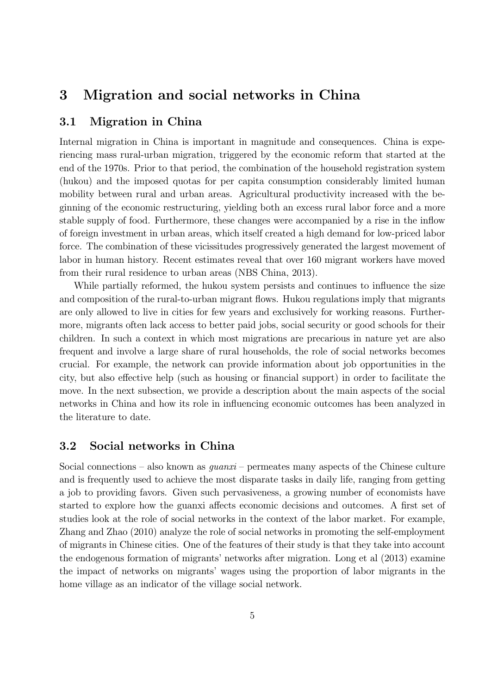## 3 Migration and social networks in China

#### 3.1 Migration in China

Internal migration in China is important in magnitude and consequences. China is experiencing mass rural-urban migration, triggered by the economic reform that started at the end of the 1970s. Prior to that period, the combination of the household registration system (hukou) and the imposed quotas for per capita consumption considerably limited human mobility between rural and urban areas. Agricultural productivity increased with the beginning of the economic restructuring, yielding both an excess rural labor force and a more stable supply of food. Furthermore, these changes were accompanied by a rise in the inflow of foreign investment in urban areas, which itself created a high demand for low-priced labor force. The combination of these vicissitudes progressively generated the largest movement of labor in human history. Recent estimates reveal that over 160 migrant workers have moved from their rural residence to urban areas (NBS China, 2013).

While partially reformed, the hukou system persists and continues to influence the size and composition of the rural-to-urban migrant flows. Hukou regulations imply that migrants are only allowed to live in cities for few years and exclusively for working reasons. Furthermore, migrants often lack access to better paid jobs, social security or good schools for their children. In such a context in which most migrations are precarious in nature yet are also frequent and involve a large share of rural households, the role of social networks becomes crucial. For example, the network can provide information about job opportunities in the city, but also effective help (such as housing or financial support) in order to facilitate the move. In the next subsection, we provide a description about the main aspects of the social networks in China and how its role in influencing economic outcomes has been analyzed in the literature to date.

#### 3.2 Social networks in China

Social connections – also known as  $quanxi$  – permeates many aspects of the Chinese culture and is frequently used to achieve the most disparate tasks in daily life, ranging from getting a job to providing favors. Given such pervasiveness, a growing number of economists have started to explore how the guanxi affects economic decisions and outcomes. A first set of studies look at the role of social networks in the context of the labor market. For example, Zhang and Zhao (2010) analyze the role of social networks in promoting the self-employment of migrants in Chinese cities. One of the features of their study is that they take into account the endogenous formation of migrants' networks after migration. Long et al (2013) examine the impact of networks on migrants' wages using the proportion of labor migrants in the home village as an indicator of the village social network.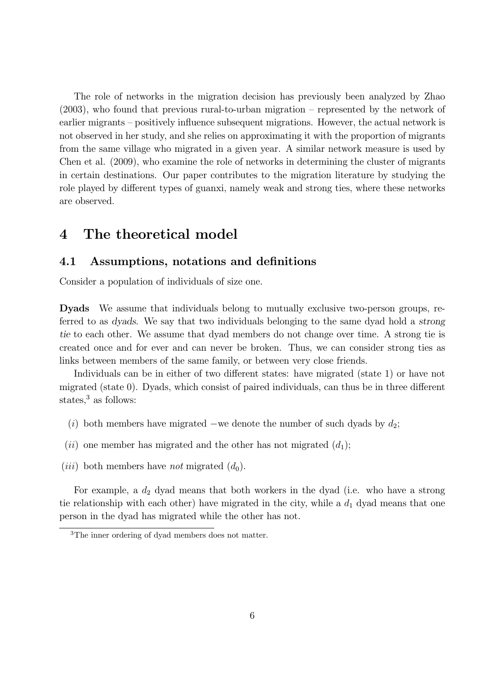The role of networks in the migration decision has previously been analyzed by Zhao (2003), who found that previous rural-to-urban migration — represented by the network of earlier migrants — positively influence subsequent migrations. However, the actual network is not observed in her study, and she relies on approximating it with the proportion of migrants from the same village who migrated in a given year. A similar network measure is used by Chen et al. (2009), who examine the role of networks in determining the cluster of migrants in certain destinations. Our paper contributes to the migration literature by studying the role played by different types of guanxi, namely weak and strong ties, where these networks are observed.

## 4 The theoretical model

#### 4.1 Assumptions, notations and definitions

Consider a population of individuals of size one.

Dyads We assume that individuals belong to mutually exclusive two-person groups, referred to as dyads. We say that two individuals belonging to the same dyad hold a strong tie to each other. We assume that dyad members do not change over time. A strong tie is created once and for ever and can never be broken. Thus, we can consider strong ties as links between members of the same family, or between very close friends.

Individuals can be in either of two different states: have migrated (state 1) or have not migrated (state 0). Dyads, which consist of paired individuals, can thus be in three different states, $3$  as follows:

- (i) both members have migrated –we denote the number of such dyads by  $d_2$ ;
- (*ii*) one member has migrated and the other has not migrated  $(d_1)$ ;
- (*iii*) both members have *not* migrated  $(d_0)$ .

For example, a  $d_2$  dyad means that both workers in the dyad (i.e. who have a strong tie relationship with each other) have migrated in the city, while a  $d_1$  dyad means that one person in the dyad has migrated while the other has not.

<sup>3</sup>The inner ordering of dyad members does not matter.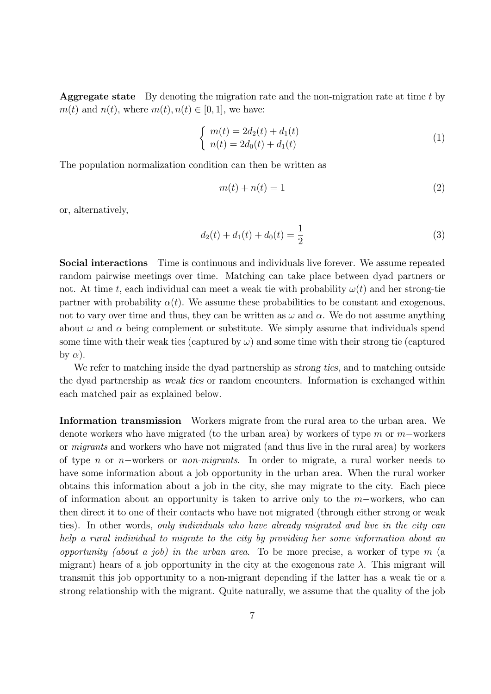**Aggregate state** By denoting the migration rate and the non-migration rate at time  $t$  by  $m(t)$  and  $n(t)$ , where  $m(t)$ ,  $n(t) \in [0, 1]$ , we have:

$$
\begin{cases}\nm(t) = 2d_2(t) + d_1(t) \\
n(t) = 2d_0(t) + d_1(t)\n\end{cases} \tag{1}
$$

The population normalization condition can then be written as

$$
m(t) + n(t) = 1\tag{2}
$$

or, alternatively,

$$
d_2(t) + d_1(t) + d_0(t) = \frac{1}{2}
$$
\n(3)

Social interactions Time is continuous and individuals live forever. We assume repeated random pairwise meetings over time. Matching can take place between dyad partners or not. At time t, each individual can meet a weak tie with probability  $\omega(t)$  and her strong-tie partner with probability  $\alpha(t)$ . We assume these probabilities to be constant and exogenous, not to vary over time and thus, they can be written as  $\omega$  and  $\alpha$ . We do not assume anything about  $\omega$  and  $\alpha$  being complement or substitute. We simply assume that individuals spend some time with their weak ties (captured by  $\omega$ ) and some time with their strong tie (captured by  $\alpha$ ).

We refer to matching inside the dyad partnership as *strong ties*, and to matching outside the dyad partnership as weak ties or random encounters. Information is exchanged within each matched pair as explained below.

Information transmission Workers migrate from the rural area to the urban area. We denote workers who have migrated (to the urban area) by workers of type  $m$  or  $m$ -workers or migrants and workers who have not migrated (and thus live in the rural area) by workers of type *n* or *n*-workers or *non-migrants*. In order to migrate, a rural worker needs to have some information about a job opportunity in the urban area. When the rural worker obtains this information about a job in the city, she may migrate to the city. Each piece of information about an opportunity is taken to arrive only to the  $m$ –workers, who can then direct it to one of their contacts who have not migrated (through either strong or weak ties). In other words, only individuals who have already migrated and live in the city can help a rural individual to migrate to the city by providing her some information about an opportunity (about a job) in the urban area. To be more precise, a worker of type  $m$  (a migrant) hears of a job opportunity in the city at the exogenous rate  $\lambda$ . This migrant will transmit this job opportunity to a non-migrant depending if the latter has a weak tie or a strong relationship with the migrant. Quite naturally, we assume that the quality of the job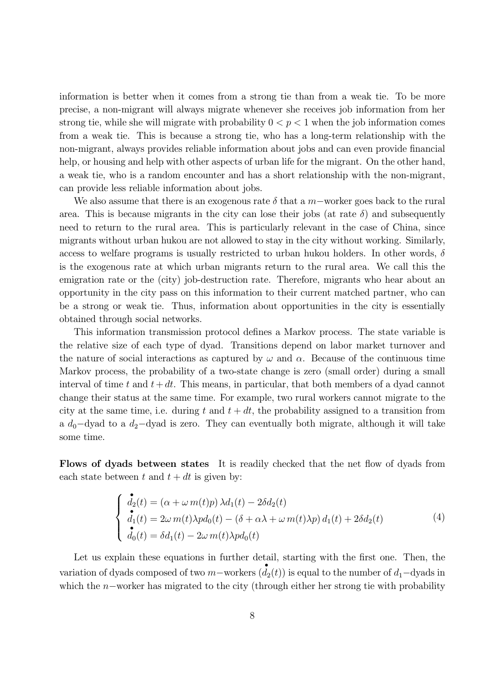information is better when it comes from a strong tie than from a weak tie. To be more precise, a non-migrant will always migrate whenever she receives job information from her strong tie, while she will migrate with probability  $0 < p < 1$  when the job information comes from a weak tie. This is because a strong tie, who has a long-term relationship with the non-migrant, always provides reliable information about jobs and can even provide financial help, or housing and help with other aspects of urban life for the migrant. On the other hand, a weak tie, who is a random encounter and has a short relationship with the non-migrant, can provide less reliable information about jobs.

We also assume that there is an exogenous rate  $\delta$  that a  $m$ -worker goes back to the rural area. This is because migrants in the city can lose their jobs (at rate  $\delta$ ) and subsequently need to return to the rural area. This is particularly relevant in the case of China, since migrants without urban hukou are not allowed to stay in the city without working. Similarly, access to welfare programs is usually restricted to urban hukou holders. In other words,  $\delta$ is the exogenous rate at which urban migrants return to the rural area. We call this the emigration rate or the (city) job-destruction rate. Therefore, migrants who hear about an opportunity in the city pass on this information to their current matched partner, who can be a strong or weak tie. Thus, information about opportunities in the city is essentially obtained through social networks.

This information transmission protocol defines a Markov process. The state variable is the relative size of each type of dyad. Transitions depend on labor market turnover and the nature of social interactions as captured by  $\omega$  and  $\alpha$ . Because of the continuous time Markov process, the probability of a two-state change is zero (small order) during a small interval of time t and  $t+dt$ . This means, in particular, that both members of a dyad cannot change their status at the same time. For example, two rural workers cannot migrate to the city at the same time, i.e. during t and  $t + dt$ , the probability assigned to a transition from a  $d_0$ -dyad to a  $d_2$ -dyad is zero. They can eventually both migrate, although it will take some time.

Flows of dyads between states It is readily checked that the net flow of dyads from each state between  $t$  and  $t + dt$  is given by:

$$
\begin{cases}\n\mathbf{d}_2(t) = (\alpha + \omega \, m(t)p) \, \lambda d_1(t) - 2\delta d_2(t) \\
\mathbf{d}_1(t) = 2\omega \, m(t)\lambda p d_0(t) - (\delta + \alpha \lambda + \omega \, m(t)\lambda p) \, d_1(t) + 2\delta d_2(t) \\
\mathbf{d}_0(t) = \delta d_1(t) - 2\omega \, m(t)\lambda p d_0(t)\n\end{cases} \tag{4}
$$

Let us explain these equations in further detail, starting with the first one. Then, the variation of dyads composed of two  $m$ -workers  $(d_2(t))$  is equal to the number of  $d_1$ -dyads in which the  $n$ –worker has migrated to the city (through either her strong tie with probability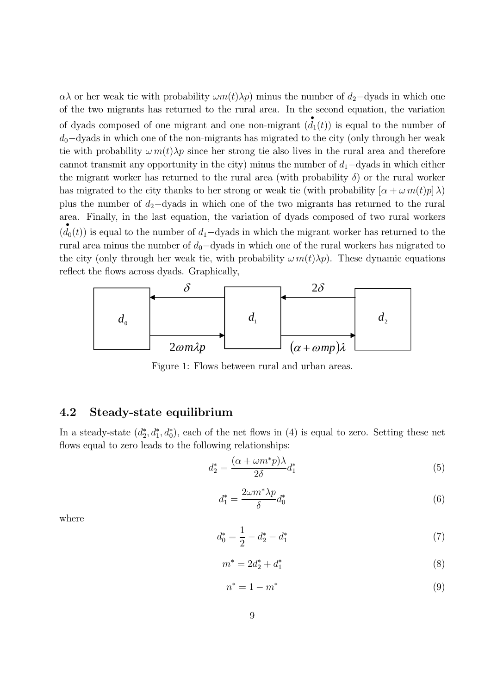$\alpha\lambda$  or her weak tie with probability  $\omega m(t)\lambda p$  minus the number of  $d_2$ -dyads in which one of the two migrants has returned to the rural area. In the second equation, the variation of dyads composed of one migrant and one non-migrant  $(d_1(t))$  is equal to the number of  $d_0$ –dyads in which one of the non-migrants has migrated to the city (only through her weak tie with probability  $\omega m(t) \lambda p$  since her strong tie also lives in the rural area and therefore cannot transmit any opportunity in the city) minus the number of  $d_1$ -dyads in which either the migrant worker has returned to the rural area (with probability  $\delta$ ) or the rural worker has migrated to the city thanks to her strong or weak tie (with probability  $[\alpha + \omega m(t)p]\lambda$ ) plus the number of  $d_2$ -dyads in which one of the two migrants has returned to the rural area. Finally, in the last equation, the variation of dyads composed of two rural workers  $(d_0(t))$  is equal to the number of  $d_1$ -dyads in which the migrant worker has returned to the rural area minus the number of  $d_0$ -dyads in which one of the rural workers has migrated to the city (only through her weak tie, with probability  $\omega m(t)\lambda p$ ). These dynamic equations reflect the flows across dyads. Graphically,



Figure 1: Flows between rural and urban areas.

#### 4.2 Steady-state equilibrium

In a steady-state  $(d_2^*, d_1^*, d_0^*)$ , each of the net flows in (4) is equal to zero. Setting these net flows equal to zero leads to the following relationships:

$$
d_2^* = \frac{(\alpha + \omega m^* p)\lambda}{2\delta} d_1^* \tag{5}
$$

$$
d_1^* = \frac{2\omega m^* \lambda p}{\delta} d_0^* \tag{6}
$$

where

$$
d_0^* = \frac{1}{2} - d_2^* - d_1^* \tag{7}
$$

$$
m^* = 2d_2^* + d_1^* \tag{8}
$$

$$
n^* = 1 - m^* \tag{9}
$$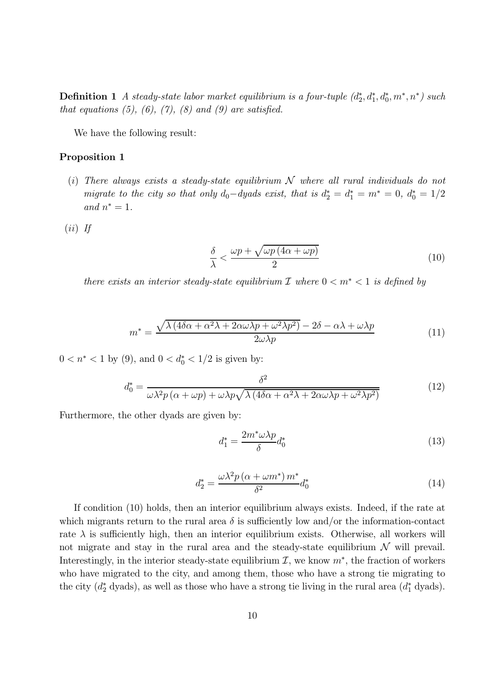**Definition 1** A steady-state labor market equilibrium is a four-tuple  $(d_2^*, d_1^*, d_0^*, m^*, n^*)$  such that equations  $(5)$ ,  $(6)$ ,  $(7)$ ,  $(8)$  and  $(9)$  are satisfied.

We have the following result:

#### Proposition 1

- (i) There always exists a steady-state equilibrium  $N$  where all rural individuals do not migrate to the city so that only  $d_0 - dy$  ads exist, that is  $d_2^* = d_1^* = m^* = 0$ ,  $d_0^* = 1/2$ and  $n^* = 1$ .
- $(ii)$  If

$$
\frac{\delta}{\lambda} < \frac{\omega p + \sqrt{\omega p \left(4\alpha + \omega p\right)}}{2} \tag{10}
$$

there exists an interior steady-state equilibrium  $\mathcal I$  where  $0 < m^* < 1$  is defined by

$$
m^* = \frac{\sqrt{\lambda (4\delta\alpha + \alpha^2\lambda + 2\alpha\omega\lambda p + \omega^2\lambda p^2)} - 2\delta - \alpha\lambda + \omega\lambda p}{2\omega\lambda p} \tag{11}
$$

 $0 < n^* < 1$  by (9), and  $0 < d_0^* < 1/2$  is given by:

$$
d_0^* = \frac{\delta^2}{\omega \lambda^2 p \left(\alpha + \omega p\right) + \omega \lambda p \sqrt{\lambda \left(4 \delta \alpha + \alpha^2 \lambda + 2 \alpha \omega \lambda p + \omega^2 \lambda p^2\right)}}\tag{12}
$$

Furthermore, the other dyads are given by:

$$
d_1^* = \frac{2m^*\omega\lambda p}{\delta}d_0^*
$$
\n(13)

$$
d_2^* = \frac{\omega \lambda^2 p \left(\alpha + \omega m^*\right) m^*}{\delta^2} d_0^* \tag{14}
$$

If condition (10) holds, then an interior equilibrium always exists. Indeed, if the rate at which migrants return to the rural area  $\delta$  is sufficiently low and/or the information-contact rate  $\lambda$  is sufficiently high, then an interior equilibrium exists. Otherwise, all workers will not migrate and stay in the rural area and the steady-state equilibrium  $\mathcal N$  will prevail. Interestingly, in the interior steady-state equilibrium  $\mathcal{I}$ , we know  $m^*$ , the fraction of workers who have migrated to the city, and among them, those who have a strong tie migrating to the city  $(d_2^* \text{ dyads})$ , as well as those who have a strong tie living in the rural area  $(d_1^* \text{ dyads})$ .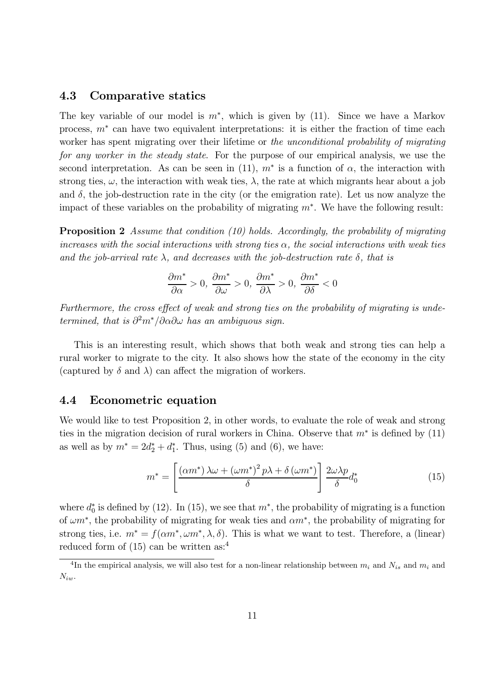#### 4.3 Comparative statics

The key variable of our model is  $m^*$ , which is given by (11). Since we have a Markov process,  $m^*$  can have two equivalent interpretations: it is either the fraction of time each worker has spent migrating over their lifetime or the unconditional probability of migrating for any worker in the steady state. For the purpose of our empirical analysis, we use the second interpretation. As can be seen in (11),  $m^*$  is a function of  $\alpha$ , the interaction with strong ties,  $\omega$ , the interaction with weak ties,  $\lambda$ , the rate at which migrants hear about a job and  $\delta$ , the job-destruction rate in the city (or the emigration rate). Let us now analyze the impact of these variables on the probability of migrating  $m^*$ . We have the following result:

Proposition 2 Assume that condition (10) holds. Accordingly, the probability of migrating increases with the social interactions with strong ties  $\alpha$ , the social interactions with weak ties and the job-arrival rate  $\lambda$ , and decreases with the job-destruction rate  $\delta$ , that is

$$
\frac{\partial m^*}{\partial \alpha} > 0, \frac{\partial m^*}{\partial \omega} > 0, \frac{\partial m^*}{\partial \lambda} > 0, \frac{\partial m^*}{\partial \delta} < 0
$$

Furthermore, the cross effect of weak and strong ties on the probability of migrating is undetermined, that is  $\partial^2 m^* / \partial \alpha \partial \omega$  has an ambiguous sign.

This is an interesting result, which shows that both weak and strong ties can help a rural worker to migrate to the city. It also shows how the state of the economy in the city (captured by  $\delta$  and  $\lambda$ ) can affect the migration of workers.

#### 4.4 Econometric equation

We would like to test Proposition 2, in other words, to evaluate the role of weak and strong ties in the migration decision of rural workers in China. Observe that  $m^*$  is defined by (11) as well as by  $m^* = 2d_2^* + d_1^*$ . Thus, using (5) and (6), we have:

$$
m^* = \left[ \frac{\left(\alpha m^*\right)\lambda\omega + \left(\omega m^*\right)^2 p\lambda + \delta\left(\omega m^*\right)}{\delta} \right] \frac{2\omega\lambda p}{\delta} d_0^* \tag{15}
$$

where  $d_0^*$  is defined by (12). In (15), we see that  $m^*$ , the probability of migrating is a function of  $\omega m^*$ , the probability of migrating for weak ties and  $\alpha m^*$ , the probability of migrating for strong ties, i.e.  $m^* = f(\alpha m^*, \omega m^*, \lambda, \delta)$ . This is what we want to test. Therefore, a (linear) reduced form of  $(15)$  can be written as:<sup>4</sup>

<sup>&</sup>lt;sup>4</sup>In the empirical analysis, we will also test for a non-linear relationship between  $m_i$  and  $N_{is}$  and  $m_i$  and  $N_{iw}$ .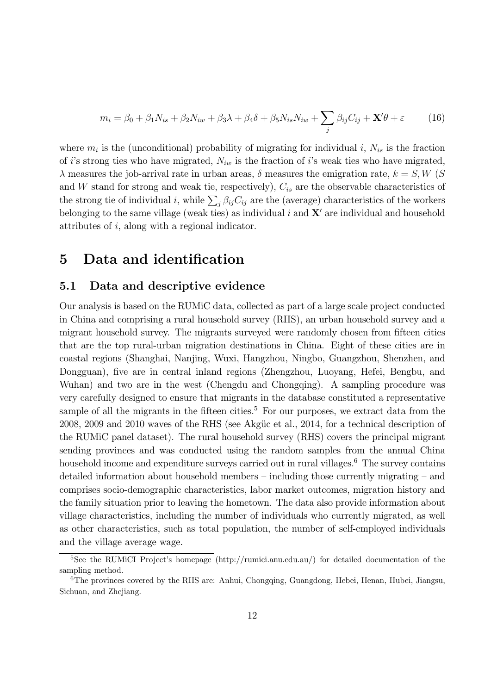$$
m_i = \beta_0 + \beta_1 N_{is} + \beta_2 N_{iw} + \beta_3 \lambda + \beta_4 \delta + \beta_5 N_{is} N_{iw} + \sum_j \beta_{ij} C_{ij} + \mathbf{X}' \theta + \varepsilon \tag{16}
$$

where  $m_i$  is the (unconditional) probability of migrating for individual i,  $N_{is}$  is the fraction of i's strong ties who have migrated,  $N_{iw}$  is the fraction of i's weak ties who have migrated,  $\lambda$  measures the job-arrival rate in urban areas,  $\delta$  measures the emigration rate,  $k = S, W$  (S and  $W$  stand for strong and weak tie, respectively),  $C_{is}$  are the observable characteristics of the strong tie of individual *i*, while  $\sum_j \beta_{ij} C_{ij}$  are the (average) characteristics of the workers belonging to the same village (weak ties) as individual  $i$  and  $X'$  are individual and household attributes of  $i$ , along with a regional indicator.

## 5 Data and identification

#### 5.1 Data and descriptive evidence

Our analysis is based on the RUMiC data, collected as part of a large scale project conducted in China and comprising a rural household survey (RHS), an urban household survey and a migrant household survey. The migrants surveyed were randomly chosen from fifteen cities that are the top rural-urban migration destinations in China. Eight of these cities are in coastal regions (Shanghai, Nanjing, Wuxi, Hangzhou, Ningbo, Guangzhou, Shenzhen, and Dongguan), five are in central inland regions (Zhengzhou, Luoyang, Hefei, Bengbu, and Wuhan) and two are in the west (Chengdu and Chongqing). A sampling procedure was very carefully designed to ensure that migrants in the database constituted a representative sample of all the migrants in the fifteen cities.<sup>5</sup> For our purposes, we extract data from the 2008, 2009 and 2010 waves of the RHS (see Akgüc et al., 2014, for a technical description of the RUMiC panel dataset). The rural household survey (RHS) covers the principal migrant sending provinces and was conducted using the random samples from the annual China household income and expenditure surveys carried out in rural villages.<sup>6</sup> The survey contains detailed information about household members — including those currently migrating — and comprises socio-demographic characteristics, labor market outcomes, migration history and the family situation prior to leaving the hometown. The data also provide information about village characteristics, including the number of individuals who currently migrated, as well as other characteristics, such as total population, the number of self-employed individuals and the village average wage.

<sup>5</sup>See the RUMiCI Project's homepage (http://rumici.anu.edu.au/) for detailed documentation of the sampling method.

<sup>6</sup>The provinces covered by the RHS are: Anhui, Chongqing, Guangdong, Hebei, Henan, Hubei, Jiangsu, Sichuan, and Zheijang.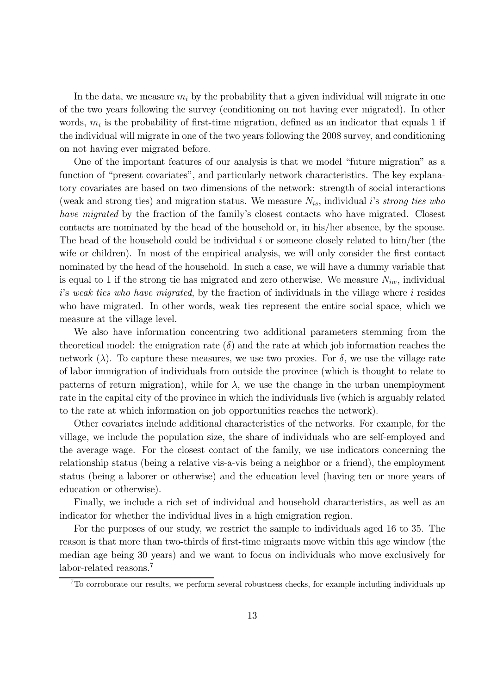In the data, we measure  $m_i$  by the probability that a given individual will migrate in one of the two years following the survey (conditioning on not having ever migrated). In other words,  $m_i$  is the probability of first-time migration, defined as an indicator that equals 1 if the individual will migrate in one of the two years following the 2008 survey, and conditioning on not having ever migrated before.

One of the important features of our analysis is that we model "future migration" as a function of "present covariates", and particularly network characteristics. The key explanatory covariates are based on two dimensions of the network: strength of social interactions (weak and strong ties) and migration status. We measure  $N_{is}$ , individual *i*'s *strong ties who* have migrated by the fraction of the family's closest contacts who have migrated. Closest contacts are nominated by the head of the household or, in his/her absence, by the spouse. The head of the household could be individual  $i$  or someone closely related to him/her (the wife or children). In most of the empirical analysis, we will only consider the first contact nominated by the head of the household. In such a case, we will have a dummy variable that is equal to 1 if the strong tie has migrated and zero otherwise. We measure  $N_{iw}$ , individual  $i$ 's weak ties who have migrated, by the fraction of individuals in the village where  $i$  resides who have migrated. In other words, weak ties represent the entire social space, which we measure at the village level.

We also have information concentring two additional parameters stemming from the theoretical model: the emigration rate  $(\delta)$  and the rate at which job information reaches the network  $(\lambda)$ . To capture these measures, we use two proxies. For  $\delta$ , we use the village rate of labor immigration of individuals from outside the province (which is thought to relate to patterns of return migration), while for  $\lambda$ , we use the change in the urban unemployment rate in the capital city of the province in which the individuals live (which is arguably related to the rate at which information on job opportunities reaches the network).

Other covariates include additional characteristics of the networks. For example, for the village, we include the population size, the share of individuals who are self-employed and the average wage. For the closest contact of the family, we use indicators concerning the relationship status (being a relative vis-a-vis being a neighbor or a friend), the employment status (being a laborer or otherwise) and the education level (having ten or more years of education or otherwise).

Finally, we include a rich set of individual and household characteristics, as well as an indicator for whether the individual lives in a high emigration region.

For the purposes of our study, we restrict the sample to individuals aged 16 to 35. The reason is that more than two-thirds of first-time migrants move within this age window (the median age being 30 years) and we want to focus on individuals who move exclusively for labor-related reasons.<sup>7</sup>

<sup>7</sup>To corroborate our results, we perform several robustness checks, for example including individuals up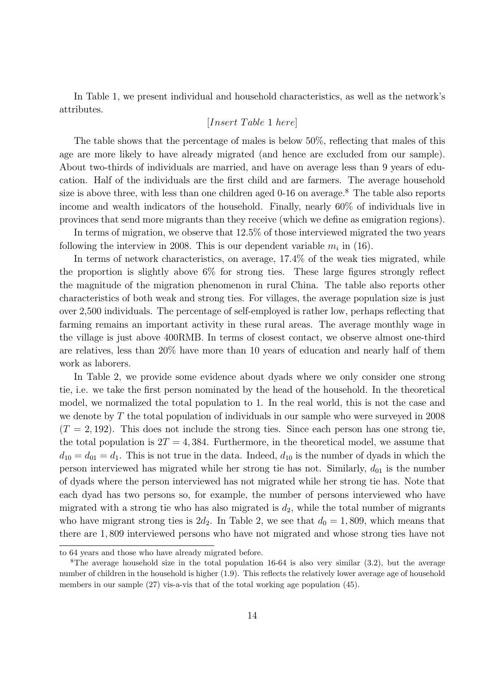In Table 1, we present individual and household characteristics, as well as the network's attributes.

#### $[Insert\ Table\ 1\ here]$

The table shows that the percentage of males is below 50%, reflecting that males of this age are more likely to have already migrated (and hence are excluded from our sample). About two-thirds of individuals are married, and have on average less than 9 years of education. Half of the individuals are the first child and are farmers. The average household size is above three, with less than one children aged 0-16 on average.<sup>8</sup> The table also reports income and wealth indicators of the household. Finally, nearly 60% of individuals live in provinces that send more migrants than they receive (which we define as emigration regions).

In terms of migration, we observe that 12.5% of those interviewed migrated the two years following the interview in 2008. This is our dependent variable  $m_i$  in (16).

In terms of network characteristics, on average, 17.4% of the weak ties migrated, while the proportion is slightly above 6% for strong ties. These large figures strongly reflect the magnitude of the migration phenomenon in rural China. The table also reports other characteristics of both weak and strong ties. For villages, the average population size is just over 2,500 individuals. The percentage of self-employed is rather low, perhaps reflecting that farming remains an important activity in these rural areas. The average monthly wage in the village is just above 400RMB. In terms of closest contact, we observe almost one-third are relatives, less than 20% have more than 10 years of education and nearly half of them work as laborers.

In Table 2, we provide some evidence about dyads where we only consider one strong tie, i.e. we take the first person nominated by the head of the household. In the theoretical model, we normalized the total population to 1. In the real world, this is not the case and we denote by  $T$  the total population of individuals in our sample who were surveyed in 2008  $(T = 2, 192)$ . This does not include the strong ties. Since each person has one strong tie, the total population is  $2T = 4,384$ . Furthermore, in the theoretical model, we assume that  $d_{10} = d_{01} = d_1$ . This is not true in the data. Indeed,  $d_{10}$  is the number of dyads in which the person interviewed has migrated while her strong tie has not. Similarly,  $d_{01}$  is the number of dyads where the person interviewed has not migrated while her strong tie has. Note that each dyad has two persons so, for example, the number of persons interviewed who have migrated with a strong tie who has also migrated is  $d_2$ , while the total number of migrants who have migrant strong ties is  $2d_2$ . In Table 2, we see that  $d_0 = 1,809$ , which means that there are 1,809 interviewed persons who have not migrated and whose strong ties have not

to 64 years and those who have already migrated before.

<sup>&</sup>lt;sup>8</sup>The average household size in the total population 16-64 is also very similar  $(3.2)$ , but the average number of children in the household is higher (1.9). This reflects the relatively lower average age of household members in our sample (27) vis-a-vis that of the total working age population (45).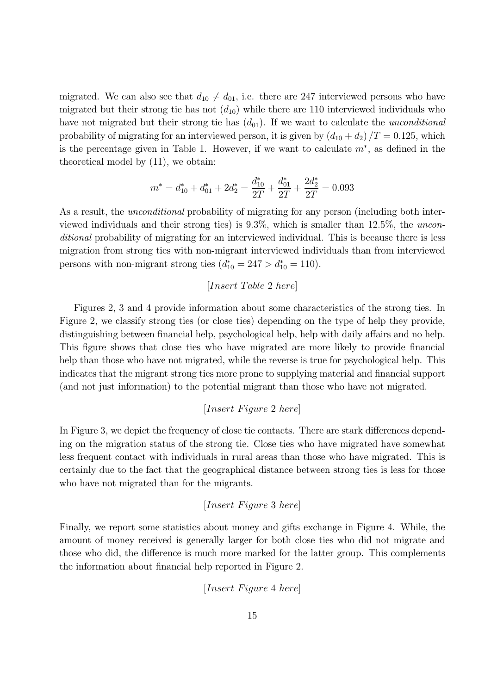migrated. We can also see that  $d_{10} \neq d_{01}$ , i.e. there are 247 interviewed persons who have migrated but their strong tie has not  $(d_{10})$  while there are 110 interviewed individuals who have not migrated but their strong tie has  $(d_{01})$ . If we want to calculate the *unconditional* probability of migrating for an interviewed person, it is given by  $(d_{10} + d_2)/T = 0.125$ , which is the percentage given in Table 1. However, if we want to calculate  $m^*$ , as defined in the theoretical model by (11), we obtain:

$$
m^* = d_{10}^* + d_{01}^* + 2d_2^* = \frac{d_{10}^*}{2T} + \frac{d_{01}^*}{2T} + \frac{2d_2^*}{2T} = 0.093
$$

As a result, the *unconditional* probability of migrating for any person (including both interviewed individuals and their strong ties) is 93%, which is smaller than 125%, the unconditional probability of migrating for an interviewed individual. This is because there is less migration from strong ties with non-migrant interviewed individuals than from interviewed persons with non-migrant strong ties  $(d_{10}^* = 247 > d_{10}^* = 110)$ .

#### $[Insert\ Table\ 2\ here]$

Figures 2, 3 and 4 provide information about some characteristics of the strong ties. In Figure 2, we classify strong ties (or close ties) depending on the type of help they provide, distinguishing between financial help, psychological help, help with daily affairs and no help. This figure shows that close ties who have migrated are more likely to provide financial help than those who have not migrated, while the reverse is true for psychological help. This indicates that the migrant strong ties more prone to supplying material and financial support (and not just information) to the potential migrant than those who have not migrated.

#### $[Insert \; Figure \; 2 \; here]$

In Figure 3, we depict the frequency of close tie contacts. There are stark differences depending on the migration status of the strong tie. Close ties who have migrated have somewhat less frequent contact with individuals in rural areas than those who have migrated. This is certainly due to the fact that the geographical distance between strong ties is less for those who have not migrated than for the migrants.

#### $[Insert \; Figure\; 3 \; here]$

Finally, we report some statistics about money and gifts exchange in Figure 4. While, the amount of money received is generally larger for both close ties who did not migrate and those who did, the difference is much more marked for the latter group. This complements the information about financial help reported in Figure 2.

 $[Insert \; Figure \; 4 \; here]$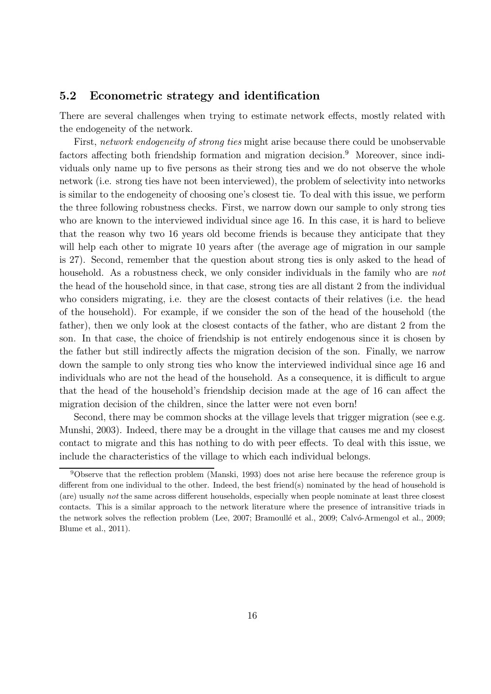#### 5.2 Econometric strategy and identification

There are several challenges when trying to estimate network effects, mostly related with the endogeneity of the network.

First, network endogeneity of strong ties might arise because there could be unobservable factors affecting both friendship formation and migration decision.<sup>9</sup> Moreover, since individuals only name up to five persons as their strong ties and we do not observe the whole network (i.e. strong ties have not been interviewed), the problem of selectivity into networks is similar to the endogeneity of choosing one's closest tie. To deal with this issue, we perform the three following robustness checks. First, we narrow down our sample to only strong ties who are known to the interviewed individual since age 16. In this case, it is hard to believe that the reason why two 16 years old become friends is because they anticipate that they will help each other to migrate 10 years after (the average age of migration in our sample is 27). Second, remember that the question about strong ties is only asked to the head of household. As a robustness check, we only consider individuals in the family who are not the head of the household since, in that case, strong ties are all distant 2 from the individual who considers migrating, i.e. they are the closest contacts of their relatives (i.e. the head of the household). For example, if we consider the son of the head of the household (the father), then we only look at the closest contacts of the father, who are distant 2 from the son. In that case, the choice of friendship is not entirely endogenous since it is chosen by the father but still indirectly affects the migration decision of the son. Finally, we narrow down the sample to only strong ties who know the interviewed individual since age 16 and individuals who are not the head of the household. As a consequence, it is difficult to argue that the head of the household's friendship decision made at the age of 16 can affect the migration decision of the children, since the latter were not even born!

Second, there may be common shocks at the village levels that trigger migration (see e.g. Munshi, 2003). Indeed, there may be a drought in the village that causes me and my closest contact to migrate and this has nothing to do with peer effects. To deal with this issue, we include the characteristics of the village to which each individual belongs.

<sup>9</sup>Observe that the reflection problem (Manski, 1993) does not arise here because the reference group is different from one individual to the other. Indeed, the best friend(s) nominated by the head of household is (are) usually not the same across different households, especially when people nominate at least three closest contacts. This is a similar approach to the network literature where the presence of intransitive triads in the network solves the reflection problem (Lee, 2007; Bramoullé et al., 2009; Calvó-Armengol et al., 2009; Blume et al., 2011).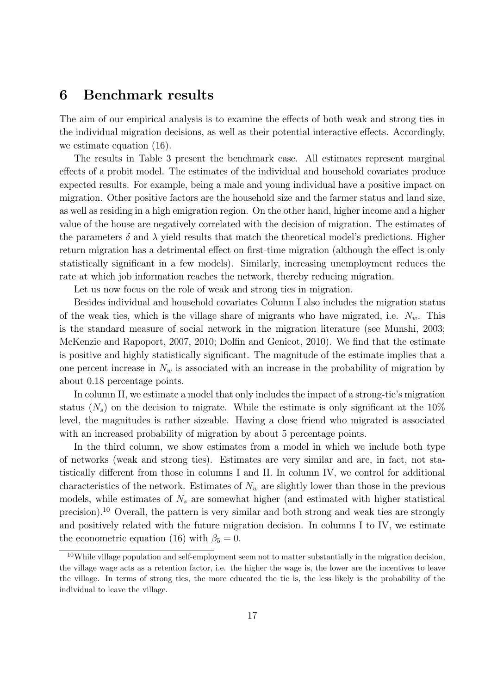### 6 Benchmark results

The aim of our empirical analysis is to examine the effects of both weak and strong ties in the individual migration decisions, as well as their potential interactive effects. Accordingly, we estimate equation (16).

The results in Table 3 present the benchmark case. All estimates represent marginal effects of a probit model. The estimates of the individual and household covariates produce expected results. For example, being a male and young individual have a positive impact on migration. Other positive factors are the household size and the farmer status and land size, as well as residing in a high emigration region. On the other hand, higher income and a higher value of the house are negatively correlated with the decision of migration. The estimates of the parameters  $\delta$  and  $\lambda$  yield results that match the theoretical model's predictions. Higher return migration has a detrimental effect on first-time migration (although the effect is only statistically significant in a few models). Similarly, increasing unemployment reduces the rate at which job information reaches the network, thereby reducing migration.

Let us now focus on the role of weak and strong ties in migration.

Besides individual and household covariates Column I also includes the migration status of the weak ties, which is the village share of migrants who have migrated, i.e.  $N_w$ . This is the standard measure of social network in the migration literature (see Munshi, 2003; McKenzie and Rapoport, 2007, 2010; Dolfin and Genicot, 2010). We find that the estimate is positive and highly statistically significant. The magnitude of the estimate implies that a one percent increase in  $N_w$  is associated with an increase in the probability of migration by about 0.18 percentage points.

In column II, we estimate a model that only includes the impact of a strong-tie's migration status  $(N_s)$  on the decision to migrate. While the estimate is only significant at the 10% level, the magnitudes is rather sizeable. Having a close friend who migrated is associated with an increased probability of migration by about 5 percentage points.

In the third column, we show estimates from a model in which we include both type of networks (weak and strong ties). Estimates are very similar and are, in fact, not statistically different from those in columns I and II. In column IV, we control for additional characteristics of the network. Estimates of  $N_w$  are slightly lower than those in the previous models, while estimates of  $N_s$  are somewhat higher (and estimated with higher statistical precision).<sup>10</sup> Overall, the pattern is very similar and both strong and weak ties are strongly and positively related with the future migration decision. In columns I to IV, we estimate the econometric equation (16) with  $\beta_5 = 0$ .

 $10$ While village population and self-employment seem not to matter substantially in the migration decision, the village wage acts as a retention factor, i.e. the higher the wage is, the lower are the incentives to leave the village. In terms of strong ties, the more educated the tie is, the less likely is the probability of the individual to leave the village.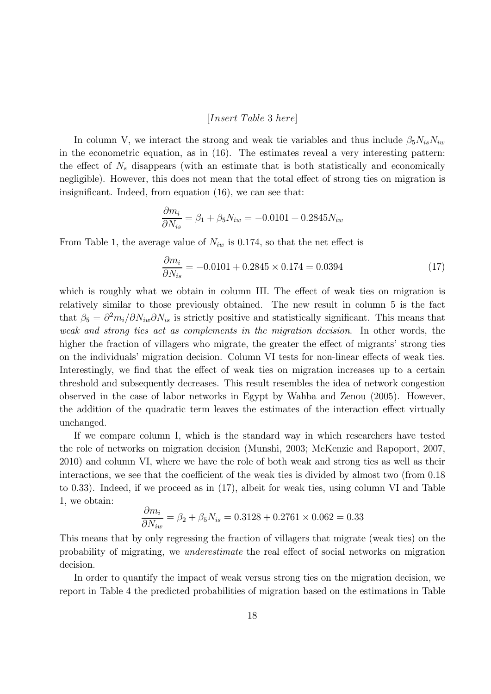#### $[Insert\; Table\; 3\; here]$

In column V, we interact the strong and weak tie variables and thus include  $\beta_5 N_{is} N_{iw}$ in the econometric equation, as in (16). The estimates reveal a very interesting pattern: the effect of  $N_s$  disappears (with an estimate that is both statistically and economically negligible). However, this does not mean that the total effect of strong ties on migration is insignificant. Indeed, from equation (16), we can see that:

$$
\frac{\partial m_i}{\partial N_{is}} = \beta_1 + \beta_5 N_{iw} = -0.0101 + 0.2845 N_{iw}
$$

From Table 1, the average value of  $N_{iw}$  is 0.174, so that the net effect is

$$
\frac{\partial m_i}{\partial N_{is}} = -0.0101 + 0.2845 \times 0.174 = 0.0394\tag{17}
$$

which is roughly what we obtain in column III. The effect of weak ties on migration is relatively similar to those previously obtained. The new result in column 5 is the fact that  $\beta_5 = \partial^2 m_i / \partial N_{iw} \partial N_{is}$  is strictly positive and statistically significant. This means that weak and strong ties act as complements in the migration decision. In other words, the higher the fraction of villagers who migrate, the greater the effect of migrants' strong ties on the individuals' migration decision. Column VI tests for non-linear effects of weak ties. Interestingly, we find that the effect of weak ties on migration increases up to a certain threshold and subsequently decreases. This result resembles the idea of network congestion observed in the case of labor networks in Egypt by Wahba and Zenou (2005). However, the addition of the quadratic term leaves the estimates of the interaction effect virtually unchanged.

If we compare column I, which is the standard way in which researchers have tested the role of networks on migration decision (Munshi, 2003; McKenzie and Rapoport, 2007, 2010) and column VI, where we have the role of both weak and strong ties as well as their interactions, we see that the coefficient of the weak ties is divided by almost two (from 0.18) to 033). Indeed, if we proceed as in (17), albeit for weak ties, using column VI and Table 1, we obtain:

$$
\frac{\partial m_i}{\partial N_{iw}} = \beta_2 + \beta_5 N_{is} = 0.3128 + 0.2761 \times 0.062 = 0.33
$$

This means that by only regressing the fraction of villagers that migrate (weak ties) on the probability of migrating, we underestimate the real effect of social networks on migration decision.

In order to quantify the impact of weak versus strong ties on the migration decision, we report in Table 4 the predicted probabilities of migration based on the estimations in Table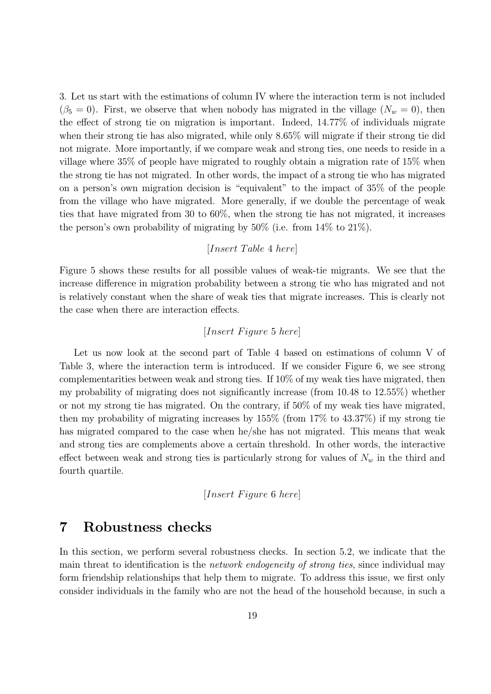3. Let us start with the estimations of column IV where the interaction term is not included  $(\beta_5 = 0)$ . First, we observe that when nobody has migrated in the village  $(N_w = 0)$ , then the effect of strong tie on migration is important. Indeed, 1477% of individuals migrate when their strong tie has also migrated, while only 865% will migrate if their strong tie did not migrate. More importantly, if we compare weak and strong ties, one needs to reside in a village where 35% of people have migrated to roughly obtain a migration rate of 15% when the strong tie has not migrated. In other words, the impact of a strong tie who has migrated on a person's own migration decision is "equivalent" to the impact of 35% of the people from the village who have migrated. More generally, if we double the percentage of weak ties that have migrated from 30 to 60%, when the strong tie has not migrated, it increases the person's own probability of migrating by 50% (i.e. from 14% to 21%).

#### $[Insert\ Table\ 4\ here]$

Figure 5 shows these results for all possible values of weak-tie migrants. We see that the increase difference in migration probability between a strong tie who has migrated and not is relatively constant when the share of weak ties that migrate increases. This is clearly not the case when there are interaction effects.

#### $[Insert \; Figure \;5 \; here]$

Let us now look at the second part of Table 4 based on estimations of column V of Table 3, where the interaction term is introduced. If we consider Figure 6, we see strong complementarities between weak and strong ties. If 10% of my weak ties have migrated, then my probability of migrating does not significantly increase (from 10.48 to 12.55%) whether or not my strong tie has migrated. On the contrary, if 50% of my weak ties have migrated, then my probability of migrating increases by 155% (from 17% to 43.37%) if my strong tie has migrated compared to the case when he/she has not migrated. This means that weak and strong ties are complements above a certain threshold. In other words, the interactive effect between weak and strong ties is particularly strong for values of  $N_w$  in the third and fourth quartile.

[ 6 ]

### 7 Robustness checks

In this section, we perform several robustness checks. In section 5.2, we indicate that the main threat to identification is the *network endogeneity of strong ties*, since individual may form friendship relationships that help them to migrate. To address this issue, we first only consider individuals in the family who are not the head of the household because, in such a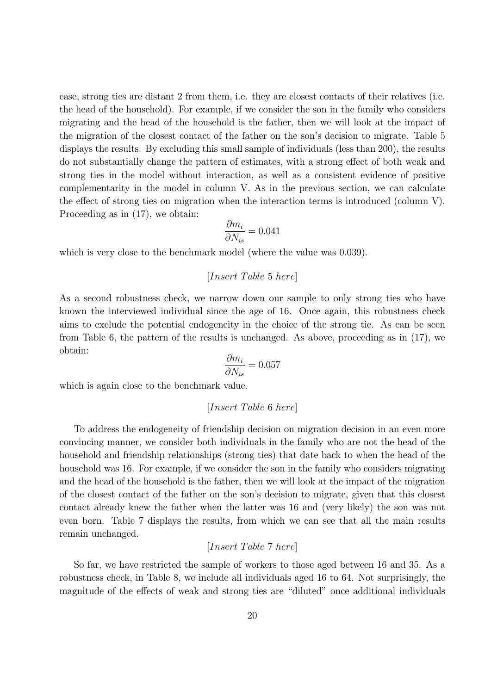case, strong ties are distant 2 from them, i.e. they are closest contacts of their relatives (i.e. the head of the household). For example, if we consider the son in the family who considers migrating and the head of the household is the father, then we will look at the impact of the migration of the closest contact of the father on the son's decision to migrate. Table 5 displays the results. By excluding this small sample of individuals (less than 200), the results do not substantially change the pattern of estimates, with a strong effect of both weak and strong ties in the model without interaction, as well as a consistent evidence of positive complementarity in the model in column V. As in the previous section, we can calculate the effect of strong ties on migration when the interaction terms is introduced (column V). Proceeding as in (17), we obtain:

$$
\frac{\partial m_i}{\partial N_{is}}=0.041
$$

which is very close to the benchmark model (where the value was 0.039).

 $[Insert\ Table\ 5\ here]$ 

As a second robustness check, we narrow down our sample to only strong ties who have known the interviewed individual since the age of 16. Once again, this robustness check aims to exclude the potential endogeneity in the choice of the strong tie. As can be seen from Table 6, the pattern of the results is unchanged. As above, proceeding as in (17), we obtain:

$$
\frac{\partial m_i}{\partial N_{is}}=0.057
$$

which is again close to the benchmark value.

$$
[Insert\ Table\ 6\ here]
$$

To address the endogeneity of friendship decision on migration decision in an even more convincing manner, we consider both individuals in the family who are not the head of the household and friendship relationships (strong ties) that date back to when the head of the household was 16. For example, if we consider the son in the family who considers migrating and the head of the household is the father, then we will look at the impact of the migration of the closest contact of the father on the son's decision to migrate, given that this closest contact already knew the father when the latter was 16 and (very likely) the son was not even born. Table 7 displays the results, from which we can see that all the main results remain unchanged.

#### $[Insert\ Table\ 7\ here]$

So far, we have restricted the sample of workers to those aged between 16 and 35. As a robustness check, in Table 8, we include all individuals aged 16 to 64. Not surprisingly, the magnitude of the effects of weak and strong ties are "diluted" once additional individuals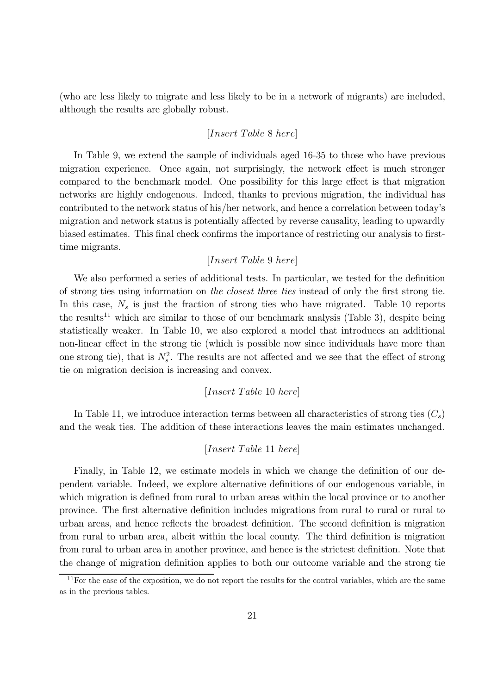(who are less likely to migrate and less likely to be in a network of migrants) are included, although the results are globally robust.

#### $[Insert\ Table\ 8\ here]$

In Table 9, we extend the sample of individuals aged 16-35 to those who have previous migration experience. Once again, not surprisingly, the network effect is much stronger compared to the benchmark model. One possibility for this large effect is that migration networks are highly endogenous. Indeed, thanks to previous migration, the individual has contributed to the network status of his/her network, and hence a correlation between today's migration and network status is potentially affected by reverse causality, leading to upwardly biased estimates. This final check confirms the importance of restricting our analysis to firsttime migrants.

#### $[Insert\ Table\ 9\ here]$

We also performed a series of additional tests. In particular, we tested for the definition of strong ties using information on the closest three ties instead of only the first strong tie. In this case,  $N_s$  is just the fraction of strong ties who have migrated. Table 10 reports the results<sup>11</sup> which are similar to those of our benchmark analysis (Table 3), despite being statistically weaker. In Table 10, we also explored a model that introduces an additional non-linear effect in the strong tie (which is possible now since individuals have more than one strong tie), that is  $N_s^2$ . The results are not affected and we see that the effect of strong tie on migration decision is increasing and convex.

#### $[Insert\ Table\ 10\ here]$

In Table 11, we introduce interaction terms between all characteristics of strong ties  $(C_s)$ and the weak ties. The addition of these interactions leaves the main estimates unchanged.

#### $[Insert\ Table\ 11\ here]$

Finally, in Table 12, we estimate models in which we change the definition of our dependent variable. Indeed, we explore alternative definitions of our endogenous variable, in which migration is defined from rural to urban areas within the local province or to another province. The first alternative definition includes migrations from rural to rural or rural to urban areas, and hence reflects the broadest definition. The second definition is migration from rural to urban area, albeit within the local county. The third definition is migration from rural to urban area in another province, and hence is the strictest definition. Note that the change of migration definition applies to both our outcome variable and the strong tie

 $11$ For the ease of the exposition, we do not report the results for the control variables, which are the same as in the previous tables.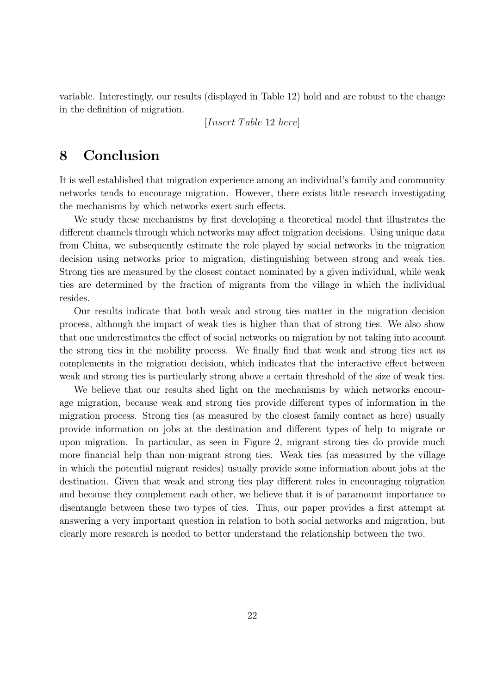variable. Interestingly, our results (displayed in Table 12) hold and are robust to the change in the definition of migration.

 $[Insert\ Table\ 12\ here]$ 

## 8 Conclusion

It is well established that migration experience among an individual's family and community networks tends to encourage migration. However, there exists little research investigating the mechanisms by which networks exert such effects.

We study these mechanisms by first developing a theoretical model that illustrates the different channels through which networks may affect migration decisions. Using unique data from China, we subsequently estimate the role played by social networks in the migration decision using networks prior to migration, distinguishing between strong and weak ties. Strong ties are measured by the closest contact nominated by a given individual, while weak ties are determined by the fraction of migrants from the village in which the individual resides.

Our results indicate that both weak and strong ties matter in the migration decision process, although the impact of weak ties is higher than that of strong ties. We also show that one underestimates the effect of social networks on migration by not taking into account the strong ties in the mobility process. We finally find that weak and strong ties act as complements in the migration decision, which indicates that the interactive effect between weak and strong ties is particularly strong above a certain threshold of the size of weak ties.

We believe that our results shed light on the mechanisms by which networks encourage migration, because weak and strong ties provide different types of information in the migration process. Strong ties (as measured by the closest family contact as here) usually provide information on jobs at the destination and different types of help to migrate or upon migration. In particular, as seen in Figure 2, migrant strong ties do provide much more financial help than non-migrant strong ties. Weak ties (as measured by the village in which the potential migrant resides) usually provide some information about jobs at the destination. Given that weak and strong ties play different roles in encouraging migration and because they complement each other, we believe that it is of paramount importance to disentangle between these two types of ties. Thus, our paper provides a first attempt at answering a very important question in relation to both social networks and migration, but clearly more research is needed to better understand the relationship between the two.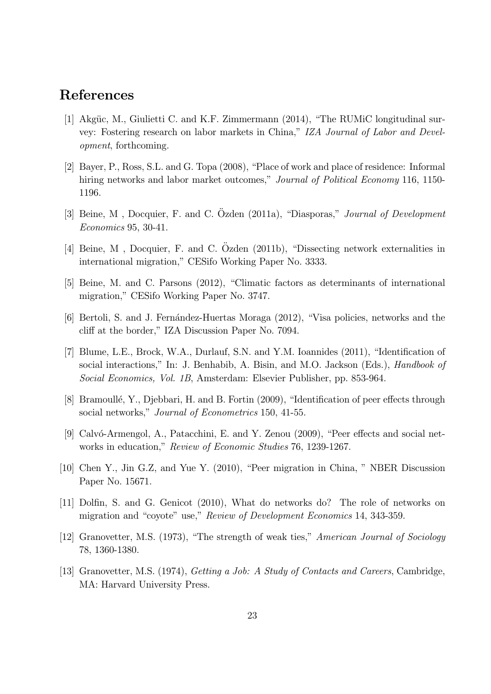## References

- [1] Akgüe, M., Giulietti C. and K.F. Zimmermann  $(2014)$ , "The RUMiC longitudinal survey: Fostering research on labor markets in China," IZA Journal of Labor and Development, forthcoming.
- [2] Bayer, P., Ross, S.L. and G. Topa (2008), "Place of work and place of residence: Informal hiring networks and labor market outcomes," Journal of Political Economy 116, 1150-1196.
- [3] Beine, M, Docquier, F. and C. Özden (2011a), "Diasporas," Journal of Development Economics 95, 30-41.
- [4] Beine, M, Docquier, F. and C. Ozden (2011b), "Dissecting network externalities in international migration," CESifo Working Paper No. 3333.
- [5] Beine, M. and C. Parsons (2012), "Climatic factors as determinants of international migration," CESifo Working Paper No. 3747.
- [6] Bertoli, S. and J. Fernández-Huertas Moraga (2012), "Visa policies, networks and the cliff at the border," IZA Discussion Paper No. 7094.
- [7] Blume, L.E., Brock, W.A., Durlauf, S.N. and Y.M. Ioannides (2011), "Identification of social interactions," In: J. Benhabib, A. Bisin, and M.O. Jackson (Eds.), Handbook of Social Economics, Vol. 1B, Amsterdam: Elsevier Publisher, pp. 853-964.
- [8] Bramoullé, Y., Djebbari, H. and B. Fortin (2009), "Identification of peer effects through social networks," Journal of Econometrics 150, 41-55.
- [9] Calvó-Armengol, A., Patacchini, E. and Y. Zenou (2009), "Peer effects and social networks in education," Review of Economic Studies 76, 1239-1267.
- [10] Chen Y., Jin G.Z, and Yue Y. (2010), "Peer migration in China, " NBER Discussion Paper No. 15671.
- [11] Dolfin, S. and G. Genicot (2010), What do networks do? The role of networks on migration and "coyote" use," Review of Development Economics 14, 343-359.
- [12] Granovetter, M.S. (1973), "The strength of weak ties," American Journal of Sociology 78, 1360-1380.
- [13] Granovetter, M.S. (1974), *Getting a Job: A Study of Contacts and Careers*, Cambridge, MA: Harvard University Press.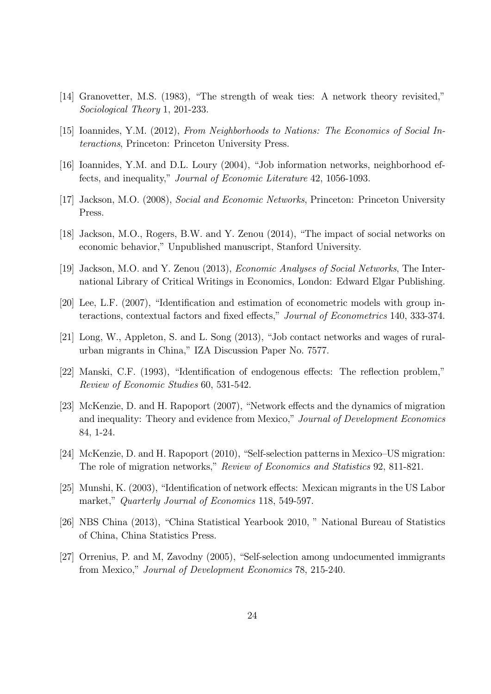- [14] Granovetter, M.S. (1983), "The strength of weak ties: A network theory revisited," Sociological Theory 1, 201-233.
- [15] Ioannides, Y.M. (2012), From Neighborhoods to Nations: The Economics of Social Interactions, Princeton: Princeton University Press.
- [16] Ioannides, Y.M. and D.L. Loury (2004), "Job information networks, neighborhood effects, and inequality," Journal of Economic Literature 42, 1056-1093.
- [17] Jackson, M.O. (2008), Social and Economic Networks, Princeton: Princeton University Press.
- [18] Jackson, M.O., Rogers, B.W. and Y. Zenou (2014), "The impact of social networks on economic behavior," Unpublished manuscript, Stanford University.
- [19] Jackson, M.O. and Y. Zenou (2013), Economic Analyses of Social Networks, The International Library of Critical Writings in Economics, London: Edward Elgar Publishing.
- [20] Lee, L.F. (2007), "Identification and estimation of econometric models with group interactions, contextual factors and fixed effects," Journal of Econometrics 140, 333-374.
- [21] Long, W., Appleton, S. and L. Song (2013), "Job contact networks and wages of ruralurban migrants in China," IZA Discussion Paper No. 7577.
- [22] Manski, C.F. (1993), "Identification of endogenous effects: The reflection problem," Review of Economic Studies 60, 531-542.
- [23] McKenzie, D. and H. Rapoport (2007), "Network effects and the dynamics of migration and inequality: Theory and evidence from Mexico," Journal of Development Economics 84, 1-24.
- [24] McKenzie, D. and H. Rapoport (2010), "Self-selection patterns in Mexico—US migration: The role of migration networks," Review of Economics and Statistics 92, 811-821.
- [25] Munshi, K. (2003), "Identification of network effects: Mexican migrants in the US Labor market," Quarterly Journal of Economics 118, 549-597.
- [26] NBS China (2013), "China Statistical Yearbook 2010, " National Bureau of Statistics of China, China Statistics Press.
- [27] Orrenius, P. and M, Zavodny (2005), "Self-selection among undocumented immigrants from Mexico," Journal of Development Economics 78, 215-240.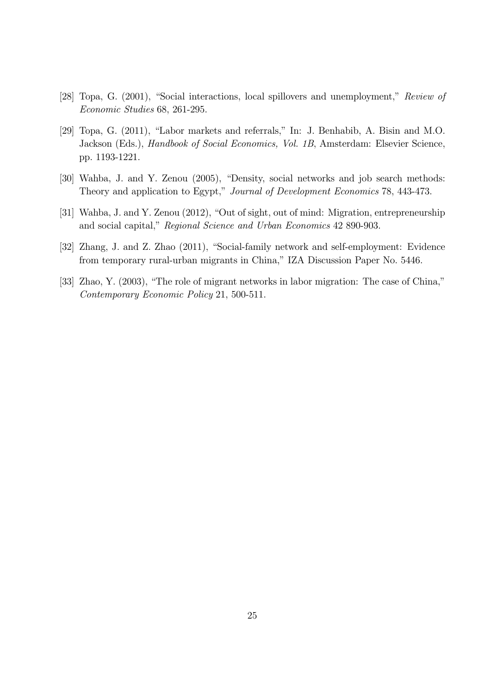- [28] Topa, G. (2001), "Social interactions, local spillovers and unemployment," Review of Economic Studies 68, 261-295.
- [29] Topa, G. (2011), "Labor markets and referrals," In: J. Benhabib, A. Bisin and M.O. Jackson (Eds.), Handbook of Social Economics, Vol. 1B, Amsterdam: Elsevier Science, pp. 1193-1221.
- [30] Wahba, J. and Y. Zenou (2005), "Density, social networks and job search methods: Theory and application to Egypt," Journal of Development Economics 78, 443-473.
- [31] Wahba, J. and Y. Zenou (2012), "Out of sight, out of mind: Migration, entrepreneurship and social capital," Regional Science and Urban Economics 42 890-903.
- [32] Zhang, J. and Z. Zhao (2011), "Social-family network and self-employment: Evidence from temporary rural-urban migrants in China," IZA Discussion Paper No. 5446.
- [33] Zhao, Y. (2003), "The role of migrant networks in labor migration: The case of China," Contemporary Economic Policy 21, 500-511.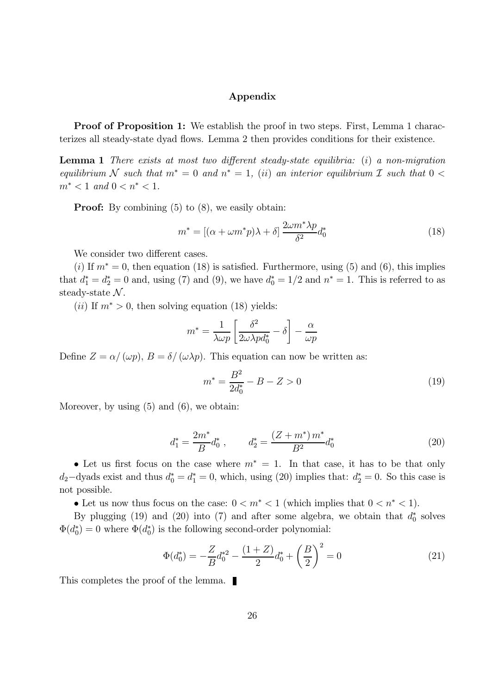#### Appendix

Proof of Proposition 1: We establish the proof in two steps. First, Lemma 1 characterizes all steady-state dyad flows. Lemma 2 then provides conditions for their existence.

**Lemma 1** There exists at most two different steady-state equilibria: (i) a non-migration equilibrium N such that  $m^* = 0$  and  $n^* = 1$ , (ii) an interior equilibrium I such that  $0 <$  $m^* < 1$  and  $0 < n^* < 1$ .

**Proof:** By combining  $(5)$  to  $(8)$ , we easily obtain:

$$
m^* = \left[ (\alpha + \omega m^* p)\lambda + \delta \right] \frac{2\omega m^* \lambda p}{\delta^2} d_0^*
$$
\n(18)

We consider two different cases.

(i) If  $m^* = 0$ , then equation (18) is satisfied. Furthermore, using (5) and (6), this implies that  $d_1^* = d_2^* = 0$  and, using (7) and (9), we have  $d_0^* = 1/2$  and  $n^* = 1$ . This is referred to as steady-state  $\mathcal{N}$ .

(*ii*) If  $m^* > 0$ , then solving equation (18) yields:

$$
m^* = \frac{1}{\lambda \omega p} \left[ \frac{\delta^2}{2 \omega \lambda p d_0^*} - \delta \right] - \frac{\alpha}{\omega p}
$$

Define  $Z = \alpha / (\omega p)$ ,  $B = \delta / (\omega \lambda p)$ . This equation can now be written as:

$$
m^* = \frac{B^2}{2d_0^*} - B - Z > 0\tag{19}
$$

Moreover, by using  $(5)$  and  $(6)$ , we obtain:

$$
d_1^* = \frac{2m^*}{B} d_0^*, \qquad d_2^* = \frac{(Z+m^*)m^*}{B^2} d_0^*
$$
\n(20)

• Let us first focus on the case where  $m^* = 1$ . In that case, it has to be that only  $d_2$ -dyads exist and thus  $d_0^* = d_1^* = 0$ , which, using (20) implies that:  $d_2^* = 0$ . So this case is not possible.

• Let us now thus focus on the case:  $0 < m^* < 1$  (which implies that  $0 < n^* < 1$ ).

By plugging (19) and (20) into (7) and after some algebra, we obtain that  $d_0^*$  solves  $\Phi(d_0^*) = 0$  where  $\Phi(d_0^*)$  is the following second-order polynomial:

$$
\Phi(d_0^*) = -\frac{Z}{B}d_0^{*2} - \frac{(1+Z)}{2}d_0^* + \left(\frac{B}{2}\right)^2 = 0\tag{21}
$$

This completes the proof of the lemma.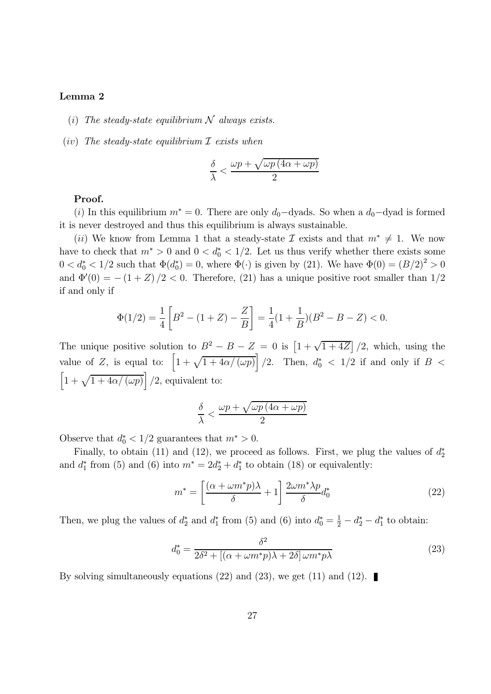#### Lemma 2

- (i) The steady-state equilibrium  $N$  always exists.
- (iv) The steady-state equilibrium  $\mathcal I$  exists when

$$
\frac{\delta}{\lambda}<\frac{\omega p+\sqrt{\omega p\left(4\alpha+\omega p\right)}}{2}
$$

#### Proof.

(i) In this equilibrium  $m^* = 0$ . There are only  $d_0$ -dyads. So when a  $d_0$ -dyad is formed it is never destroyed and thus this equilibrium is always sustainable.

(*ii*) We know from Lemma 1 that a steady-state  $\mathcal I$  exists and that  $m^* \neq 1$ . We now have to check that  $m^* > 0$  and  $0 < d_0^* < 1/2$ . Let us thus verify whether there exists some  $0 < d_0^* < 1/2$  such that  $\Phi(d_0^*) = 0$ , where  $\Phi(\cdot)$  is given by (21). We have  $\Phi(0) = (B/2)^2 > 0$ and  $\Phi'(0) = -(1+Z)/2 < 0$ . Therefore, (21) has a unique positive root smaller than  $1/2$ if and only if

$$
\Phi(1/2) = \frac{1}{4} \left[ B^2 - (1+Z) - \frac{Z}{B} \right] = \frac{1}{4} (1 + \frac{1}{B}) (B^2 - B - Z) < 0.
$$

The unique positive solution to  $B^2 - B - Z = 0$  is  $\left[1 + \sqrt{1 + 4Z}\right]/2$ , which, using the value of Z, is equal to:  $\left[1+\sqrt{1+4\alpha/(\omega p)}\right]/2$ . Then,  $d_0^* < 1/2$  if and only if  $B <$  $\left[1+\sqrt{1+4\alpha/(\omega p)}\right]/2$ , equivalent to:

$$
\frac{\delta}{\lambda} < \frac{\omega p + \sqrt{\omega p \left(4\alpha + \omega p\right)}}{2}
$$

Observe that  $d_0^* < 1/2$  guarantees that  $m^* > 0$ .

Finally, to obtain (11) and (12), we proceed as follows. First, we plug the values of  $d_2^*$ and  $d_1^*$  from (5) and (6) into  $m^* = 2d_2^* + d_1^*$  to obtain (18) or equivalently:

$$
m^* = \left[\frac{(\alpha + \omega m^*p)\lambda}{\delta} + 1\right] \frac{2\omega m^* \lambda p}{\delta} d_0^*
$$
 (22)

Then, we plug the values of  $d_2^*$  and  $d_1^*$  from (5) and (6) into  $d_0^* = \frac{1}{2} - d_2^* - d_1^*$  to obtain:

$$
d_0^* = \frac{\delta^2}{2\delta^2 + \left[ (\alpha + \omega m^* p)\lambda + 2\delta \right] \omega m^* p\lambda}
$$
\n(23)

By solving simultaneously equations (22) and (23), we get (11) and (12).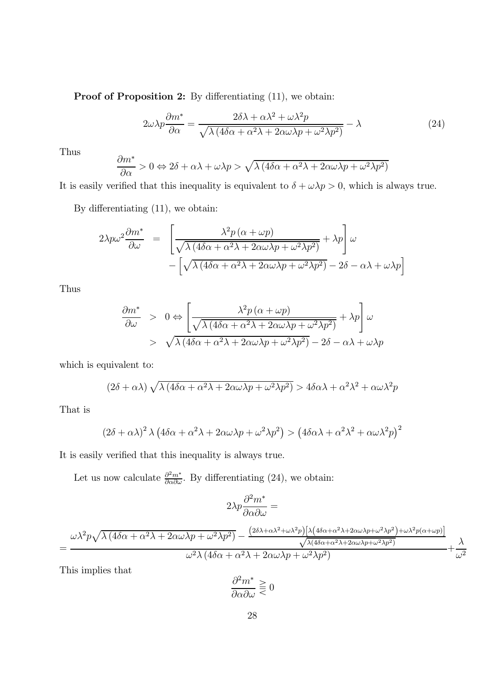Proof of Proposition 2: By differentiating  $(11)$ , we obtain:

$$
2\omega\lambda p \frac{\partial m^*}{\partial \alpha} = \frac{2\delta\lambda + \alpha\lambda^2 + \omega\lambda^2 p}{\sqrt{\lambda \left(4\delta\alpha + \alpha^2\lambda + 2\alpha\omega\lambda p + \omega^2\lambda p^2\right)}} - \lambda
$$
\n(24)

Thus

$$
\frac{\partial m^*}{\partial \alpha} > 0 \Leftrightarrow 2\delta + \alpha\lambda + \omega\lambda p > \sqrt{\lambda \left(4\delta\alpha + \alpha^2\lambda + 2\alpha\omega\lambda p + \omega^2\lambda p^2\right)}
$$

It is easily verified that this inequality is equivalent to  $\delta + \omega \lambda p > 0$ , which is always true.

By differentiating (11), we obtain:

$$
2\lambda p\omega^2 \frac{\partial m^*}{\partial \omega} = \left[ \frac{\lambda^2 p (\alpha + \omega p)}{\sqrt{\lambda (4\delta \alpha + \alpha^2 \lambda + 2\alpha \omega \lambda p + \omega^2 \lambda p^2)}} + \lambda p \right] \omega
$$

$$
- \left[ \sqrt{\lambda (4\delta \alpha + \alpha^2 \lambda + 2\alpha \omega \lambda p + \omega^2 \lambda p^2)} - 2\delta - \alpha \lambda + \omega \lambda p \right]
$$

Thus

$$
\frac{\partial m^*}{\partial \omega} > 0 \Leftrightarrow \left[ \frac{\lambda^2 p (\alpha + \omega p)}{\sqrt{\lambda (4\delta \alpha + \alpha^2 \lambda + 2\alpha \omega \lambda p + \omega^2 \lambda p^2)}} + \lambda p \right] \omega
$$
  
>  $\sqrt{\lambda (4\delta \alpha + \alpha^2 \lambda + 2\alpha \omega \lambda p + \omega^2 \lambda p^2)} - 2\delta - \alpha \lambda + \omega \lambda p$ 

which is equivalent to:

$$
(2\delta + \alpha\lambda)\sqrt{\lambda(4\delta\alpha + \alpha^2\lambda + 2\alpha\omega\lambda p + \omega^2\lambda p^2)} > 4\delta\alpha\lambda + \alpha^2\lambda^2 + \alpha\omega\lambda^2p
$$

That is

$$
(2\delta + \alpha\lambda)^2 \lambda (4\delta\alpha + \alpha^2\lambda + 2\alpha\omega\lambda p + \omega^2\lambda p^2) > (4\delta\alpha\lambda + \alpha^2\lambda^2 + \alpha\omega\lambda^2 p)^2
$$

It is easily verified that this inequality is always true.

Let us now calculate  $\frac{\partial^2 m^*}{\partial \alpha \partial \omega}$ . By differentiating (24), we obtain:

$$
2\lambda p \frac{\partial^2 m^*}{\partial \alpha \partial \omega} =
$$

$$
=\frac{\omega \lambda ^2 p \sqrt{\lambda \left(4 \delta \alpha +\alpha ^2 \lambda +2 \alpha \omega \lambda p+\omega ^2 \lambda p^2\right)}-\frac{\left(2 \delta \lambda +\alpha \lambda ^2+\omega \lambda ^2 p\right) \left[\lambda \left(4 \delta \alpha +\alpha ^2 \lambda +2 \alpha \omega \lambda p+\omega ^2 \lambda p^2\right)+\omega \lambda ^2 p (\alpha +\omega p)\right]}{\sqrt{\lambda \left(4 \delta \alpha +\alpha ^2 \lambda +2 \alpha \omega \lambda p+\omega ^2 \lambda p^2\right)}}+\frac{\lambda}{\omega ^2}}{\omega ^2 \lambda \left(4 \delta \alpha +\alpha ^2 \lambda +2 \alpha \omega \lambda p+\omega ^2 \lambda p^2\right)}+
$$

This implies that

$$
\frac{\partial^2 m^*}{\partial \alpha \partial \omega} \geq 0
$$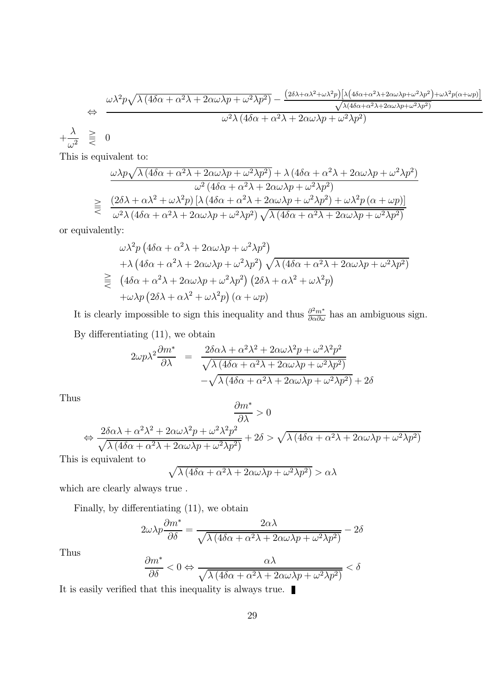$$
\Leftrightarrow \frac{\omega\lambda^2 p \sqrt{\lambda (4\delta\alpha + \alpha^2\lambda + 2\alpha\omega\lambda p + \omega^2\lambda p^2)} - \frac{(2\delta\lambda + \alpha\lambda^2 + \omega\lambda^2 p)[\lambda(4\delta\alpha + \alpha^2\lambda + 2\alpha\omega\lambda p + \omega^2\lambda p^2) + \omega\lambda^2 p(\alpha + \omega p)]}{\sqrt{\lambda(4\delta\alpha + \alpha^2\lambda + 2\alpha\omega\lambda p + \omega^2\lambda p^2)}}
$$
  

$$
\frac{\lambda}{\omega^2} \geq 0
$$
  

$$
\frac{\lambda}{\omega^2} \geq 0
$$

This is equivalent to:

 $+$ 

$$
\frac{\omega\lambda p\sqrt{\lambda(4\delta\alpha+\alpha^2\lambda+2\alpha\omega\lambda p+\omega^2\lambda p^2)}+\lambda(4\delta\alpha+\alpha^2\lambda+2\alpha\omega\lambda p+\omega^2\lambda p^2)}{\omega^2(4\delta\alpha+\alpha^2\lambda+2\alpha\omega\lambda p+\omega^2\lambda p^2)}
$$
  

$$
\geqq \frac{(2\delta\lambda+\alpha\lambda^2+\omega\lambda^2p)\left[\lambda(4\delta\alpha+\alpha^2\lambda+2\alpha\omega\lambda p+\omega^2\lambda p^2)+\omega\lambda^2p\left(\alpha+\omega p\right)\right]}{\omega^2\lambda(4\delta\alpha+\alpha^2\lambda+2\alpha\omega\lambda p+\omega^2\lambda p^2)\sqrt{\lambda(4\delta\alpha+\alpha^2\lambda+2\alpha\omega\lambda p+\omega^2\lambda p^2)}}
$$

or equivalently:

$$
\omega \lambda^2 p \left( 4 \delta \alpha + \alpha^2 \lambda + 2 \alpha \omega \lambda p + \omega^2 \lambda p^2 \right) \n+ \lambda \left( 4 \delta \alpha + \alpha^2 \lambda + 2 \alpha \omega \lambda p + \omega^2 \lambda p^2 \right) \sqrt{\lambda \left( 4 \delta \alpha + \alpha^2 \lambda + 2 \alpha \omega \lambda p + \omega^2 \lambda p^2 \right)} \n\geq \left( 4 \delta \alpha + \alpha^2 \lambda + 2 \alpha \omega \lambda p + \omega^2 \lambda p^2 \right) \left( 2 \delta \lambda + \alpha \lambda^2 + \omega \lambda^2 p \right) \n+ \omega \lambda p \left( 2 \delta \lambda + \alpha \lambda^2 + \omega \lambda^2 p \right) \left( \alpha + \omega p \right)
$$

It is clearly impossible to sign this inequality and thus  $\frac{\partial^2 m^*}{\partial \alpha \partial \omega}$  has an ambiguous sign. By differentiating (11), we obtain

$$
2\omega p\lambda^2 \frac{\partial m^*}{\partial \lambda} = \frac{2\delta \alpha \lambda + \alpha^2 \lambda^2 + 2\alpha \omega \lambda^2 p + \omega^2 \lambda^2 p^2}{\sqrt{\lambda (4\delta \alpha + \alpha^2 \lambda + 2\alpha \omega \lambda p + \omega^2 \lambda p^2)}} - \sqrt{\lambda (4\delta \alpha + \alpha^2 \lambda + 2\alpha \omega \lambda p + \omega^2 \lambda p^2)} + 2\delta
$$

Thus

$$
\frac{\partial m^*}{\partial \lambda} > 0
$$
  
\n
$$
\Leftrightarrow \frac{2\delta\alpha\lambda + \alpha^2\lambda^2 + 2\alpha\omega\lambda^2 p + \omega^2\lambda^2 p^2}{\sqrt{\lambda(4\delta\alpha + \alpha^2\lambda + 2\alpha\omega\lambda p + \omega^2\lambda p^2)}} + 2\delta > \sqrt{\lambda(4\delta\alpha + \alpha^2\lambda + 2\alpha\omega\lambda p + \omega^2\lambda p^2)}
$$

This is equivalent to

$$
\sqrt{\lambda (4\delta\alpha + \alpha^2\lambda + 2\alpha\omega\lambda p + \omega^2\lambda p^2)} > \alpha\lambda
$$

which are clearly always true .

Finally, by differentiating (11), we obtain

$$
2\omega\lambda p \frac{\partial m^*}{\partial \delta} = \frac{2\alpha\lambda}{\sqrt{\lambda (4\delta\alpha + \alpha^2\lambda + 2\alpha\omega\lambda p + \omega^2\lambda p^2)}} - 2\delta
$$

Thus

$$
\frac{\partial m^*}{\partial \delta} < 0 \Leftrightarrow \frac{\alpha \lambda}{\sqrt{\lambda \left(4 \delta \alpha + \alpha^2 \lambda + 2 \alpha \omega \lambda p + \omega^2 \lambda p^2 \right)}} < \delta
$$

It is easily verified that this inequality is always true.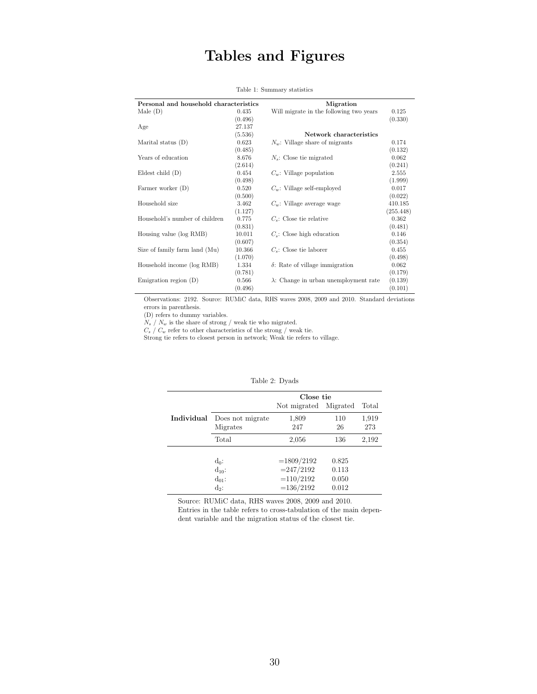## Tables and Figures

| Personal and household characteristics |         | Migration                                     |           |
|----------------------------------------|---------|-----------------------------------------------|-----------|
| Male(D)                                | 0.435   | Will migrate in the following two years       | 0.125     |
|                                        | (0.496) |                                               | (0.330)   |
| Age                                    | 27.137  |                                               |           |
|                                        | (5.536) | Network characteristics                       |           |
| Marital status (D)                     | 0.623   | $N_w$ : Village share of migrants             | 0.174     |
|                                        | (0.485) |                                               | (0.132)   |
| Years of education                     | 8.676   | $N_s$ : Close tie migrated                    | 0.062     |
|                                        | (2.614) |                                               | (0.241)   |
| Eldest child $(D)$                     | 0.454   | $C_w$ : Village population                    | 2.555     |
|                                        | (0.498) |                                               | (1.999)   |
| Farmer worker (D)                      | 0.520   | $C_w$ : Village self-employed                 | 0.017     |
|                                        | (0.500) |                                               | (0.022)   |
| Household size                         | 3.462   | $C_w$ : Village average wage                  | 410.185   |
|                                        | (1.127) |                                               | (255.448) |
| Household's number of children         | 0.775   | $C_s$ : Close tie relative                    | 0.362     |
|                                        | (0.831) |                                               | (0.481)   |
| Housing value (log RMB)                | 10.011  | $C_s$ : Close high education                  | 0.146     |
|                                        | (0.607) |                                               | (0.354)   |
| Size of family farm land (Mu)          | 10.366  | $C_s$ : Close tie laborer                     | 0.455     |
|                                        | (1.070) |                                               | (0.498)   |
| Household income (log RMB)             | 1.334   | $\delta$ : Rate of village immigration        | 0.062     |
|                                        | (0.781) |                                               | (0.179)   |
| Emigration region $(D)$                | 0.566   | $\lambda$ : Change in urban unemployment rate | (0.139)   |
|                                        | (0.496) |                                               | (0.101)   |

#### Table 1: Summary statistics

Observations: 2192. Source: RUMiC data, RHS waves 2008, 2009 and 2010. Standard deviations errors in parenthesis.

(D) refers to dummy variables.

 $N_s\left/\right.N_w$  is the share of strong / weak tie who migrated.

 $C_s / C_w$  refer to other characteristics of the strong / weak tie.

 $S_s$ ,  $S_w$  refers to closest person in network; Weak tie refers to village.

|            | Close tie        |              |          |       |  |  |  |
|------------|------------------|--------------|----------|-------|--|--|--|
|            |                  | Not migrated | Migrated | Total |  |  |  |
| Individual | Does not migrate | 1,809        | 110      | 1,919 |  |  |  |
|            | Migrates         | 247          | 26       | 273   |  |  |  |
|            | Total            | 2,056        | 136      | 2,192 |  |  |  |
|            |                  |              |          |       |  |  |  |
|            | $d_0$ :          | $=1809/2192$ | 0.825    |       |  |  |  |
|            | $d_{10}$ :       | $= 247/2192$ | 0.113    |       |  |  |  |
|            | $d_{01}$ :       | $=110/2192$  | 0.050    |       |  |  |  |
|            | $d_2$ :          | $=136/2192$  | 0.012    |       |  |  |  |

#### Table 2: Dyads

Source: RUMiC data, RHS waves 2008, 2009 and 2010.

Entries in the table refers to cross-tabulation of the main dependent variable and the migration status of the closest tie.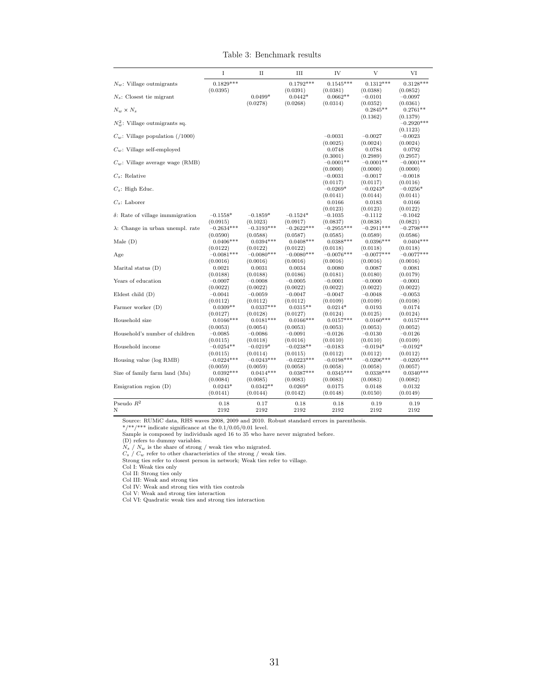|  | Table 3: Benchmark results |  |
|--|----------------------------|--|
|--|----------------------------|--|

<span id="page-32-0"></span>

| $0.1829***$<br>$N_w$ : Village outmigrants<br>$0.1792***$<br>$0.1545***$<br>$0.1312***$<br>(0.0395)<br>(0.0391)<br>(0.0381)<br>(0.0388)<br>$0.0499*$<br>$N_s$ : Closest tie migrant<br>$0.0442*$<br>$0.0662**$<br>$-0.0101$ | $0.3128***$<br>(0.0852)<br>$-0.0097$<br>(0.0361)<br>$0.2761**$ |
|-----------------------------------------------------------------------------------------------------------------------------------------------------------------------------------------------------------------------------|----------------------------------------------------------------|
|                                                                                                                                                                                                                             |                                                                |
|                                                                                                                                                                                                                             |                                                                |
|                                                                                                                                                                                                                             |                                                                |
| (0.0278)<br>(0.0314)<br>(0.0268)<br>(0.0352)<br>$N_w \times N_s$<br>$0.2845**$                                                                                                                                              |                                                                |
| (0.1362)                                                                                                                                                                                                                    | (0.1379)                                                       |
| $N_m^2$ : Village outmigrants sq.                                                                                                                                                                                           | $-0.2920***$                                                   |
|                                                                                                                                                                                                                             | (0.1123)                                                       |
| $C_w$ : Village population (/1000)<br>$-0.0031$<br>$-0.0027$                                                                                                                                                                | $-0.0023$                                                      |
| (0.0025)<br>(0.0024)<br>$C_w$ : Village self-employed                                                                                                                                                                       | (0.0024)                                                       |
| 0.0748<br>0.0784<br>(0.3001)<br>(0.2989)                                                                                                                                                                                    | 0.0792<br>(0.2957)                                             |
| $-0.0001**$<br>$C_w$ : Village average wage (RMB)<br>$-0.0001**$                                                                                                                                                            | $-0.0001**$                                                    |
| (0.0000)<br>(0.0000)                                                                                                                                                                                                        | (0.0000)                                                       |
| $C_s$ : Relative<br>$-0.0031$<br>$-0.0017$                                                                                                                                                                                  | $-0.0018$                                                      |
| (0.0117)<br>(0.0117)                                                                                                                                                                                                        | (0.0116)                                                       |
| $C_s$ : High Educ.<br>$-0.0269*$<br>$-0.0243*$                                                                                                                                                                              | $-0.0256*$                                                     |
| (0.0141)<br>(0.0144)                                                                                                                                                                                                        | (0.0141)                                                       |
| $C_s$ : Laborer<br>0.0166<br>0.0183                                                                                                                                                                                         | 0.0166                                                         |
| (0.0123)<br>(0.0123)<br>$\delta$ : Rate of village immunigration<br>$-0.1558*$<br>$-0.1859*$<br>$-0.1524*$<br>$-0.1035$<br>$-0.1112$                                                                                        | (0.0122)<br>$-0.1042$                                          |
| (0.0915)<br>(0.1023)<br>(0.0917)<br>(0.0837)<br>(0.0838)                                                                                                                                                                    | (0.0821)                                                       |
| $-0.3193***$<br>$-0.2622***$<br>$\lambda$ : Change in urban unempl. rate<br>$-0.2634***$<br>$-0.2955***$<br>$-0.2911***$                                                                                                    | $-0.2798***$                                                   |
| (0.0590)<br>(0.0588)<br>(0.0587)<br>(0.0585)<br>(0.0589)                                                                                                                                                                    | (0.0586)                                                       |
| $0.0406***$<br>$0.0394***$<br>$0.0408***$<br>$0.0388***$<br>Male $(D)$<br>$0.0396***$                                                                                                                                       | $0.0404***$                                                    |
| (0.0122)<br>(0.0122)<br>(0.0122)<br>(0.0118)<br>(0.0118)                                                                                                                                                                    | (0.0118)                                                       |
| $-0.0080***$<br>$-0.0080***$<br>Age<br>$-0.0081***$<br>$-0.0076***$<br>$-0.0077***$                                                                                                                                         | $-0.0077***$                                                   |
| (0.0016)<br>(0.0016)<br>(0.0016)<br>(0.0016)<br>(0.0016)                                                                                                                                                                    | (0.0016)                                                       |
| Marital status $(D)$<br>0.0021<br>0.0031<br>0.0034<br>0.0080<br>0.0087                                                                                                                                                      | $_{0.0081}$                                                    |
| (0.0188)<br>(0.0188)<br>(0.0186)<br>(0.0181)<br>(0.0180)                                                                                                                                                                    | (0.0179)                                                       |
| Years of education<br>$-0.0008$<br>$-0.0001$<br>$-0.0000$<br>$-0.0007$<br>$-0.0005$<br>(0.0022)<br>(0.0022)<br>(0.0022)<br>(0.0022)<br>(0.0022)                                                                             | $-0.0001$<br>(0.0022)                                          |
| Eldest child $(D)$<br>$-0.0041$<br>$-0.0059$<br>$-0.0047$<br>$-0.0047$<br>$-0.0048$                                                                                                                                         | $-0.0053$                                                      |
| (0.0112)<br>(0.0112)<br>(0.0112)<br>(0.0109)<br>(0.0109)                                                                                                                                                                    | (0.0108)                                                       |
| Farmer worker (D)<br>$0.0309**$<br>$0.0337***$<br>$0.0315**$<br>$0.0214*$<br>0.0193                                                                                                                                         | 0.0174                                                         |
| (0.0125)<br>(0.0127)<br>(0.0128)<br>(0.0127)<br>(0.0124)                                                                                                                                                                    | (0.0124)                                                       |
| $0.0166***$<br>$0.0181***$<br>$0.0166***$<br>$0.0157***$<br>$0.0160***$<br>Household size                                                                                                                                   | $0.0157***$                                                    |
| (0.0053)<br>(0.0054)<br>(0.0053)<br>(0.0053)<br>(0.0053)                                                                                                                                                                    | (0.0052)                                                       |
| Household's number of children<br>$-0.0126$<br>$-0.0130$<br>$-0.0085$<br>$-0.0086$<br>$-0.0091$                                                                                                                             | $-0.0126$                                                      |
| (0.0115)<br>(0.0118)<br>(0.0116)<br>(0.0110)<br>(0.0110)                                                                                                                                                                    | (0.0109)                                                       |
| Household income<br>$-0.0254**$<br>$-0.0219*$<br>$-0.0238**$<br>$-0.0183$<br>$-0.0194*$                                                                                                                                     | $-0.0192*$                                                     |
| (0.0115)<br>(0.0114)<br>(0.0115)<br>(0.0112)<br>(0.0112)<br>Housing value (log RMB)<br>$-0.0243***$<br>$-0.0198***$<br>$-0.0206***$<br>$-0.0224***$<br>$-0.0223***$                                                         | (0.0112)<br>$-0.0205***$                                       |
| (0.0059)<br>(0.0059)<br>(0.0058)<br>(0.0058)<br>(0.0058)                                                                                                                                                                    | (0.0057)                                                       |
| Size of family farm land (Mu)<br>$0.0392***$<br>$0.0414***$<br>$0.0387***$<br>$0.0345***$<br>$0.0338***$                                                                                                                    | $0.0340***$                                                    |
| (0.0084)<br>(0.0085)<br>(0.0083)<br>(0.0083)<br>(0.0083)                                                                                                                                                                    | (0.0082)                                                       |
| Emigration region $(D)$<br>$0.0243*$<br>$0.0342**$<br>$0.0269*$<br>0.0175<br>0.0148                                                                                                                                         | 0.0132                                                         |
| (0.0141)<br>(0.0144)<br>(0.0148)<br>(0.0150)<br>(0.0142)                                                                                                                                                                    | (0.0149)                                                       |
| Pseudo $R^2$<br>0.17<br>0.18<br>0.18<br>0.18<br>0.19                                                                                                                                                                        | 0.19                                                           |
| Ν<br>2192<br>2192<br>2192<br>2192<br>2192                                                                                                                                                                                   | 2192                                                           |

Source: RUMiC data, RHS waves 2008, 2009 and 2010. Robust standard errors in parenthesis.<br>\*/\*\*/\*\*\* indicate significance at the 0.1/0.05/0.01 level.<br>Sample is composed by individuals aged 16 to 35 who have never migrated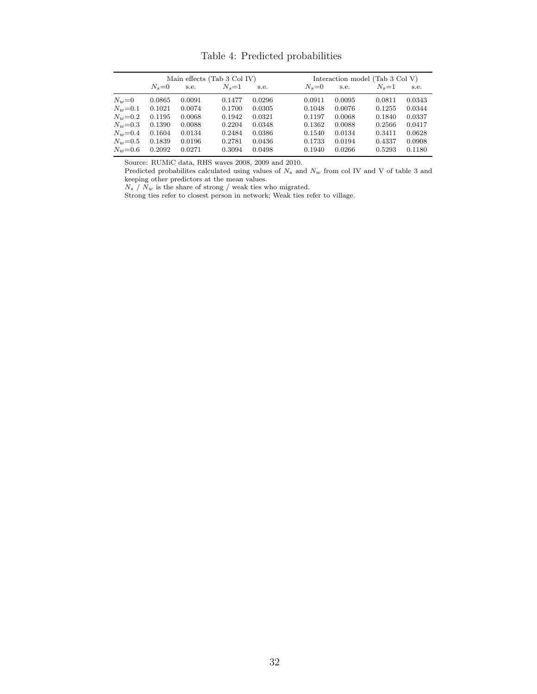|               | Main effects (Tab 3 Col IV) |        |         |        | Interaction model (Tab $3$ Col V) |        |         |        |
|---------------|-----------------------------|--------|---------|--------|-----------------------------------|--------|---------|--------|
|               | $N_s = 0$                   | s.e.   | $N_s=1$ | s.e.   | $N_s = 0$                         | s.e.   | $N_s=1$ | s.e.   |
| $N_w=0$       | 0.0865                      | 0.0091 | 0.1477  | 0.0296 | 0.0911                            | 0.0095 | 0.0811  | 0.0343 |
| $N_w = 0.1$   | 0.1021                      | 0.0074 | 0.1700  | 0.0305 | 0.1048                            | 0.0076 | 0.1255  | 0.0344 |
| $N_w = 0.2$   | 0.1195                      | 0.0068 | 0.1942  | 0.0321 | 0.1197                            | 0.0068 | 0.1840  | 0.0337 |
| $N_w = 0.3$   | 0.1390                      | 0.0088 | 0.2204  | 0.0348 | 0.1362                            | 0.0088 | 0.2566  | 0.0417 |
| $N_w = 0.4$   | 0.1604                      | 0.0134 | 0.2484  | 0.0386 | 0.1540                            | 0.0134 | 0.3411  | 0.0628 |
| $N_w = 0.5$   | 0.1839                      | 0.0196 | 0.2781  | 0.0436 | 0.1733                            | 0.0194 | 0.4337  | 0.0908 |
| $N_{w} = 0.6$ | 0.2092                      | 0.0271 | 0.3094  | 0.0498 | 0.1940                            | 0.0266 | 0.5293  | 0.1180 |

Source: RUMiC data, RHS waves 2008, 2009 and 2010.

Predicted probabilites calculated using values of  $N_s$  and  $N_w$  from col IV and V of table [3](#page-32-0) and keeping other predictors at the mean values.

 $N_s$  /  $N_w$  is the share of strong / weak ties who migrated.

Strong ties refer to closest person in network; Weak ties refer to village.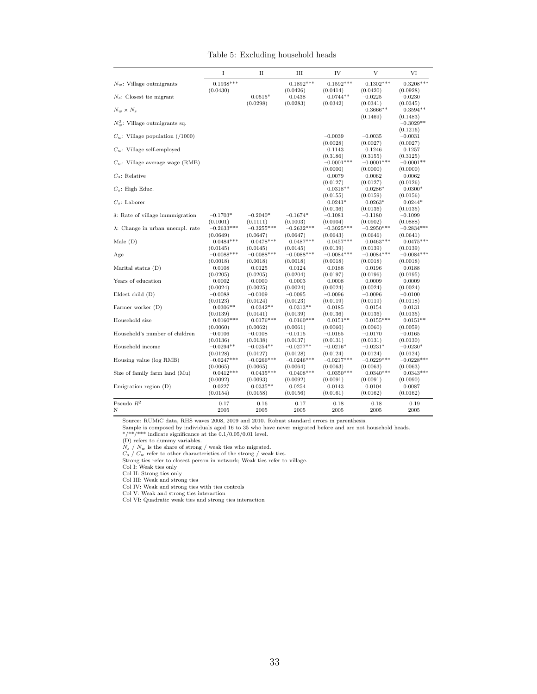|  | Table 5: Excluding household heads |  |  |
|--|------------------------------------|--|--|
|--|------------------------------------|--|--|

|                                          | I                                    | П                                    | Ш                                    | IV                                   | V                                    | VI                                   |
|------------------------------------------|--------------------------------------|--------------------------------------|--------------------------------------|--------------------------------------|--------------------------------------|--------------------------------------|
| $N_w$ : Village outmigrants              | $0.1938***$<br>(0.0430)              |                                      | $0.1892***$<br>(0.0426)              | $0.1592***$<br>(0.0414)              | $0.1302***$<br>(0.0420)              | $0.3208***$<br>(0.0928)              |
| $N_s$ : Closest tie migrant              |                                      | $0.0515*$                            | 0.0438                               | $0.0744**$                           | $-0.0225$                            | $-0.0230$                            |
| $N_w \times N_s$                         |                                      | (0.0298)                             | (0.0283)                             | (0.0342)                             | (0.0341)<br>$0.3666**$               | (0.0345)<br>$0.3594**$               |
| $N_w^2$ : Village outmigrants sq.        |                                      |                                      |                                      |                                      | (0.1469)                             | (0.1483)<br>$-0.3029**$<br>(0.1216)  |
| $C_w$ : Village population (/1000)       |                                      |                                      |                                      | $-0.0039$<br>(0.0028)                | $-0.0035$<br>(0.0027)                | $-0.0031$<br>(0.0027)                |
| $C_w$ : Village self-employed            |                                      |                                      |                                      | 0.1143<br>(0.3186)                   | 0.1246<br>(0.3155)                   | 0.1257<br>(0.3125)                   |
| $C_w$ : Village average wage (RMB)       |                                      |                                      |                                      | $-0.0001***$<br>(0.0000)             | $-0.0001***$<br>(0.0000)             | $-0.0001**$<br>(0.0000)              |
| $C_s$ : Relative                         |                                      |                                      |                                      | $-0.0079$<br>(0.0127)                | $-0.0062$<br>(0.0127)                | $-0.0062$<br>(0.0126)                |
| $C_s$ : High Educ.                       |                                      |                                      |                                      | $-0.0318**$<br>(0.0155)              | $-0.0286*$<br>(0.0159)               | $-0.0300*$<br>(0.0156)               |
| $C_s$ : Laborer                          |                                      |                                      |                                      | $0.0241*$<br>(0.0136)                | $0.0263*$<br>(0.0136)                | $0.0244*$<br>(0.0135)                |
| $\delta$ : Rate of village immmigration  | $-0.1703*$<br>(0.1001)               | $-0.2040*$<br>(0.1111)               | $-0.1674*$<br>(0.1003)               | $-0.1081$<br>(0.0904)                | $-0.1180$<br>(0.0902)                | $-0.1099$<br>(0.0888)                |
| $\lambda$ : Change in urban unempl. rate | $-0.2633***$<br>(0.0649)             | $-0.3255***$<br>(0.0647)             | $-0.2632***$<br>(0.0647)             | $-0.3025***$<br>(0.0643)             | $-0.2950***$<br>(0.0646)             | $-0.2834***$<br>(0.0641)             |
| Male $(D)$                               | $0.0484***$<br>(0.0145)              | $0.0478***$<br>(0.0145)              | $0.0487***$<br>(0.0145)              | $0.0457***$<br>(0.0139)              | $0.0463***$<br>(0.0139)              | $0.0475***$<br>(0.0139)              |
| Age                                      | $-0.0088***$<br>(0.0018)             | $-0.0088***$<br>(0.0018)             | $-0.0088***$<br>(0.0018)             | $-0.0084***$<br>(0.0018)             | $-0.0084***$<br>(0.0018)             | $-0.0084***$<br>(0.0018)             |
| Marital status $(D)$                     | 0.0108                               | 0.0125                               | 0.0124                               | 0.0188                               | 0.0196                               | 0.0188                               |
| Years of education                       | (0.0205)<br>0.0002<br>(0.0024)       | (0.0205)<br>$-0.0000$<br>(0.0025)    | (0.0204)<br>0.0003<br>(0.0024)       | (0.0197)<br>0.0008<br>(0.0024)       | (0.0196)<br>0.0009<br>(0.0024)       | (0.0195)<br>0.0009<br>(0.0024)       |
| Eldest child $(D)$                       | $-0.0088$<br>(0.0123)                | $-0.0109$<br>(0.0124)                | $-0.0095$<br>(0.0123)                | $-0.0096$<br>(0.0119)                | $-0.0096$<br>(0.0119)                | $-0.0100$<br>(0.0118)                |
| Farmer worker (D)                        | $0.0306**$                           | $0.0342**$                           | $0.0313**$                           | 0.0185<br>(0.0136)                   | 0.0154<br>(0.0136)                   | 0.0131<br>(0.0135)                   |
| Household size                           | (0.0139)<br>$0.0160***$              | (0.0141)<br>$0.0176***$              | (0.0139)<br>$0.0160***$              | $0.0151**$                           | $0.0155***$                          | $0.0151**$                           |
| Household's number of children           | (0.0060)<br>$-0.0106$                | (0.0062)<br>$-0.0108$                | (0.0061)<br>$-0.0115$                | (0.0060)<br>$-0.0165$                | (0.0060)<br>$-0.0170$                | (0.0059)<br>$-0.0165$                |
| Household income                         | (0.0136)<br>$-0.0294**$              | (0.0138)<br>$-0.0254**$              | (0.0137)<br>$-0.0277**$              | (0.0131)<br>$-0.0216*$               | (0.0131)<br>$-0.0231*$               | (0.0130)<br>$-0.0230*$               |
| Housing value (log RMB)                  | (0.0128)<br>$-0.0247***$<br>(0.0065) | (0.0127)<br>$-0.0266***$<br>(0.0065) | (0.0128)<br>$-0.0246***$<br>(0.0064) | (0.0124)<br>$-0.0217***$<br>(0.0063) | (0.0124)<br>$-0.0229***$<br>(0.0063) | (0.0124)<br>$-0.0228***$<br>(0.0063) |
| Size of family farm land (Mu)            | $0.0412***$<br>(0.0092)              | $0.0435***$<br>(0.0093)              | $0.0408***$<br>(0.0092)              | $0.0350***$<br>(0.0091)              | $0.0340***$<br>(0.0091)              | $0.0343***$<br>(0.0090)              |
| Emigration region $(D)$                  | 0.0227<br>(0.0154)                   | $0.0335**$<br>(0.0158)               | 0.0254<br>(0.0156)                   | 0.0143<br>(0.0161)                   | 0.0104<br>(0.0162)                   | 0.0087<br>(0.0162)                   |
| Pseudo $R^2$<br>Ν                        | 0.17<br>2005                         | 0.16<br>2005                         | 0.17<br>2005                         | 0.18<br>2005                         | 0.18<br>2005                         | 0.19<br>2005                         |

Source: RUMiC data, RHS waves 2008, 2009 and 2010. Robust standard errors in parenthesis.<br>
Sample is composed by individuals aged 16 to 35 who have never migrated before and are not household heads.<br>  $*\!/ **$  indicate signif

Col VI: Quadratic weak ties and strong ties interaction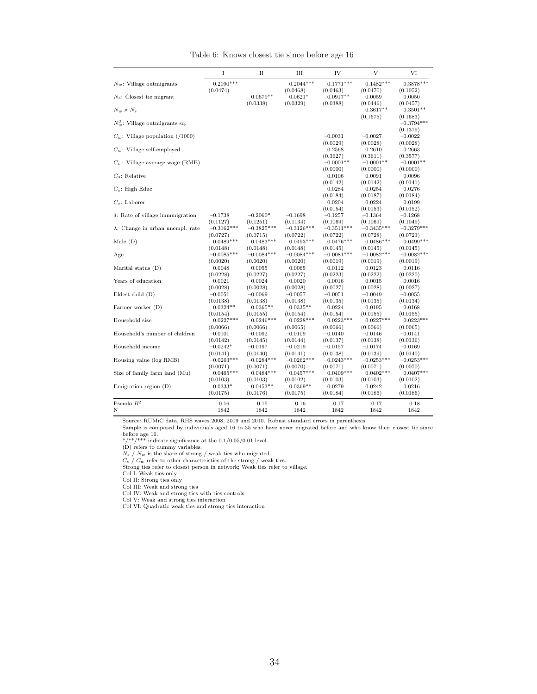|                                          | I                        | $_{\rm II}$              | Ш                        | IV                       | V                        | VI                       |
|------------------------------------------|--------------------------|--------------------------|--------------------------|--------------------------|--------------------------|--------------------------|
| $N_w$ : Village outmigrants              | $0.2090***$              |                          | $0.2044***$              | $0.1771***$              | $0.1482***$              | $0.3878***$              |
|                                          | (0.0474)                 |                          | (0.0468)                 | (0.0463)                 | (0.0470)                 | (0.1052)                 |
| $N_s$ : Closest tie migrant              |                          | $0.0679**$               | $0.0621*$                | $0.0917**$               | $-0.0059$                | $-0.0050$                |
|                                          |                          | (0.0338)                 | (0.0329)                 | (0.0388)                 | (0.0446)                 | (0.0457)                 |
| $N_w \times N_s$                         |                          |                          |                          |                          | $0.3617**$               | $0.3501**$               |
| $N_m^2$ : Village outmigrants sq.        |                          |                          |                          |                          | (0.1675)                 | (0.1683)<br>$-0.3794***$ |
|                                          |                          |                          |                          |                          |                          | (0.1379)                 |
| $C_w$ : Village population (/1000)       |                          |                          |                          | $-0.0031$                | $-0.0027$                | $-0.0022$                |
|                                          |                          |                          |                          | (0.0029)                 | (0.0028)                 | (0.0028)                 |
| $C_w$ : Village self-employed            |                          |                          |                          | 0.2568<br>(0.3627)       | 0.2610<br>(0.3611)       | 0.2663<br>(0.3577)       |
| $C_w$ : Village average wage (RMB)       |                          |                          |                          | $-0.0001**$              | $-0.0001**$              | $-0.0001**$              |
|                                          |                          |                          |                          | (0.0000)                 | (0.0000)                 | (0.0000)                 |
| $C_s$ : Relative                         |                          |                          |                          | $-0.0106$                | $-0.0091$                | $-0.0096$                |
|                                          |                          |                          |                          | (0.0142)                 | (0.0142)                 | (0.0141)                 |
| $C_s$ : High Educ.                       |                          |                          |                          | $-0.0284$                | $-0.0254$                | $-0.0276$                |
|                                          |                          |                          |                          | (0.0184)                 | (0.0187)                 | (0.0184)                 |
| $C_s$ : Laborer                          |                          |                          |                          | 0.0204                   | 0.0224                   | 0.0199                   |
|                                          |                          |                          |                          | (0.0154)                 | (0.0153)                 | (0.0152)                 |
| $\delta$ : Rate of village immmigration  | $-0.1738$                | $-0.2060*$               | $-0.1698$                | $-0.1257$                | $-0.1364$                | $-0.1268$                |
| $\lambda$ : Change in urban unempl. rate | (0.1127)<br>$-0.3162***$ | (0.1251)<br>$-0.3825***$ | (0.1134)<br>$-0.3126***$ | (0.1069)<br>$-0.3511***$ | (0.1069)<br>$-0.3435***$ | (0.1049)<br>$-0.3279***$ |
|                                          | (0.0727)                 | (0.0715)                 | (0.0722)                 | (0.0722)                 | (0.0728)                 | (0.0723)                 |
| Male $(D)$                               | $0.0489***$              | $0.0483***$              | $0.0493***$              | $0.0476***$              | $0.0486***$              | $0.0499***$              |
|                                          | (0.0148)                 | (0.0148)                 | (0.0148)                 | (0.0145)                 | (0.0145)                 | (0.0145)                 |
| Age                                      | $-0.0085***$             | $-0.0084***$             | $-0.0084***$             | $-0.0081***$             | $-0.0082***$             | $-0.0082***$             |
|                                          | (0.0020)                 | (0.0020)                 | (0.0020)                 | (0.0019)                 | (0.0019)                 | (0.0019)                 |
| Marital status $(D)$                     | 0.0048                   | 0.0055                   | 0.0065                   | 0.0112                   | 0.0123                   | 0.0116                   |
|                                          | (0.0228)                 | (0.0227)                 | (0.0227)                 | (0.0223)                 | (0.0222)                 | (0.0220)                 |
| Years of education                       | $-0.0021$                | $-0.0024$                | $-0.0020$                | $-0.0016$                | $-0.0015$                | $-0.0016$                |
|                                          | (0.0028)                 | (0.0028)                 | (0.0028)                 | (0.0027)                 | (0.0028)                 | (0.0027)                 |
| Eldest child $(D)$                       | $-0.0051$<br>(0.0138)    | $-0.0069$<br>(0.0138)    | $-0.0057$<br>(0.0138)    | $-0.0051$<br>(0.0135)    | $-0.0049$<br>(0.0135)    | $-0.0055$<br>(0.0134)    |
| Farmer worker (D)                        | $0.0324**$               | $0.0365**$               | $0.0335**$               | 0.0224                   | 0.0195                   | 0.0168                   |
|                                          | (0.0154)                 | (0.0155)                 | (0.0154)                 | (0.0154)                 | (0.0155)                 | (0.0155)                 |
| Household size                           | $0.0227***$              | $0.0246***$              | $0.0228***$              | $0.0223***$              | $0.0227***$              | $0.0223***$              |
|                                          | (0.0066)                 | (0.0066)                 | (0.0065)                 | (0.0066)                 | (0.0066)                 | (0.0065)                 |
| Household's number of children           | $-0.0101$                | $-0.0092$                | $-0.0109$                | $-0.0140$                | $-0.0146$                | $-0.0141$                |
|                                          | (0.0142)                 | (0.0145)                 | (0.0144)                 | (0.0137)                 | (0.0138)                 | (0.0136)                 |
| Household income                         | $-0.0242*$               | $-0.0197$                | $-0.0219$                | $-0.0157$                | $-0.0174$                | $-0.0169$                |
|                                          | (0.0141)                 | (0.0140)                 | (0.0141)                 | (0.0138)                 | (0.0139)                 | (0.0140)                 |
| Housing value (log RMB)                  | $-0.0263***$             | $-0.0284***$             | $-0.0262***$             | $-0.0243***$             | $-0.0253***$             | $-0.0253***$             |
| Size of family farm land (Mu)            | (0.0071)<br>$0.0465***$  | (0.0071)<br>$0.0484***$  | (0.0070)<br>$0.0457***$  | (0.0071)<br>$0.0409***$  | (0.0071)<br>$0.0402***$  | (0.0070)<br>$0.0407***$  |
|                                          | (0.0103)                 | (0.0103)                 | (0.0102)                 | (0.0103)                 | (0.0103)                 | (0.0102)                 |
| Emigration region $(D)$                  | $0.0333*$                | $0.0453**$               | $0.0369**$               | 0.0279                   | 0.0242                   | 0.0216                   |
|                                          | (0.0175)                 | (0.0176)                 | (0.0175)                 | (0.0184)                 | (0.0186)                 | (0.0186)                 |
|                                          |                          |                          |                          |                          |                          |                          |
| Pseudo $R^2$<br>Ν                        | 0.16<br>1842             | 0.15<br>1842             | 0.16<br>1842             | 0.17<br>1842             | 0.17<br>1842             | 0.18<br>1842             |
|                                          |                          |                          |                          |                          |                          |                          |

Table 6: Knows closest tie since before age 16

Sample is composed by individuals aged 16 to 35 who have never migrated before and who know their closest tie since

before age 16.<br>\*/\*\*/\*\*\* indicate significance at the 0.1/0.05/0.01 level.<br>(D) refers to dummy variables.<br> $N_s / N_w$  is the share of strong / weak ties who migrated.<br> $C_s / C_w$  refer to other characteristics of the strong / weak

Col I: Weak ties only Col II: Strong ties only Col III: Weak and strong ties Col IV: Weak and strong ties with ties controls

Col V: Weak and strong ties interaction Col VI: Quadratic weak ties and strong ties interaction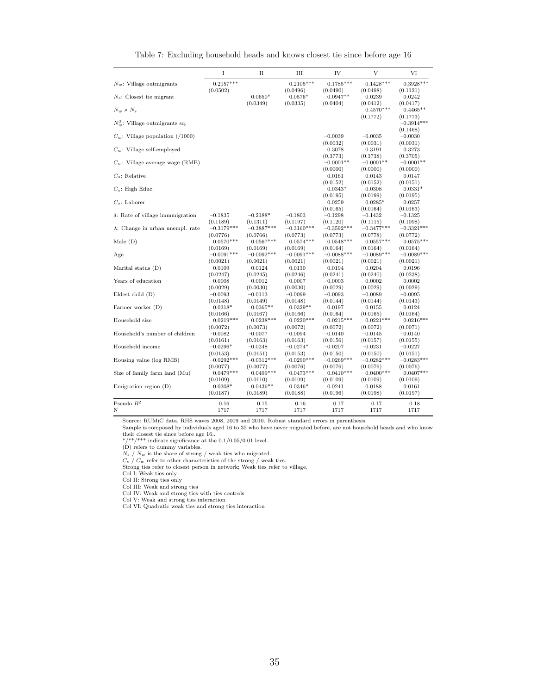|                                          | I                       | П            | Ш                       | IV                      | V                       | VI                                   |
|------------------------------------------|-------------------------|--------------|-------------------------|-------------------------|-------------------------|--------------------------------------|
| $N_w$ : Village outmigrants              | $0.2157***$<br>(0.0502) |              | $0.2105***$<br>(0.0496) | $0.1785***$<br>(0.0490) | $0.1428***$<br>(0.0498) | $0.3928***$<br>(0.1121)              |
| $N_s$ : Closest tie migrant              |                         | $0.0650*$    | $0.0576*$               | $0.0947**$              | $-0.0239$               | $-0.0242$                            |
| $N_w \times N_s$                         |                         | (0.0349)     | (0.0335)                | (0.0404)                | (0.0412)<br>$0.4570***$ | (0.0417)<br>$0.4465**$               |
| $N_{\rm so}^2$ : Village outmigrants sq. |                         |              |                         |                         | (0.1772)                | (0.1773)<br>$-0.3914***$<br>(0.1468) |
| $C_w$ : Village population (/1000)       |                         |              |                         | $-0.0039$<br>(0.0032)   | $-0.0035$<br>(0.0031)   | $-0.0030$<br>(0.0031)                |
| $C_w$ : Village self-employed            |                         |              |                         | 0.3078<br>(0.3773)      | 0.3191<br>(0.3738)      | 0.3273<br>(0.3705)                   |
| $C_w$ : Village average wage (RMB)       |                         |              |                         | $-0.0001**$<br>(0.0000) | $-0.0001**$<br>(0.0000) | $-0.0001**$<br>(0.0000)              |
| $C_s$ : Relative                         |                         |              |                         | $-0.0161$<br>(0.0152)   | $-0.0143$<br>(0.0152)   | $-0.0147$<br>(0.0151)                |
| $C_s$ : High Educ.                       |                         |              |                         | $-0.0343*$<br>(0.0195)  | $-0.0308$<br>(0.0199)   | $-0.0331*$<br>(0.0195)               |
| $C_s$ : Laborer                          |                         |              |                         | 0.0259<br>(0.0165)      | $0.0285*$<br>(0.0164)   | 0.0257<br>(0.0163)                   |
| $\delta$ : Rate of village immmigration  | $-0.1835$               | $-0.2188*$   | $-0.1803$               | $-0.1298$               | $-0.1432$               | $-0.1325$                            |
|                                          | (0.1189)                | (0.1311)     | (0.1197)                | (0.1120)                | (0.1115)                | (0.1098)                             |
| $\lambda$ : Change in urban unempl. rate | $-0.3179***$            | $-0.3887***$ | $-0.3160***$            | $-0.3592***$            | $-0.3477***$            | $-0.3321***$                         |
|                                          | (0.0776)                | (0.0766)     | (0.0773)                | (0.0773)                | (0.0778)                | (0.0772)                             |
| Male $(D)$                               | $0.0570***$             | $0.0567***$  | $0.0574***$             | $0.0548***$             | $0.0557***$             | $0.0575***$                          |
| Age                                      | (0.0169)                | (0.0169)     | (0.0169)                | (0.0164)                | (0.0164)                | (0.0164)                             |
|                                          | $-0.0091***$            | $-0.0092***$ | $-0.0091***$            | $-0.0088***$            | $-0.0089***$            | $-0.0089***$                         |
|                                          | (0.0021)                | (0.0021)     | (0.0021)                | (0.0021)                | (0.0021)                | (0.0021)                             |
| Marital status $(D)$                     | 0.0109                  | 0.0124       | 0.0130                  | 0.0194                  | 0.0204                  | 0.0196                               |
|                                          | (0.0247)                | (0.0245)     | (0.0246)                | (0.0241)                | (0.0240)                | (0.0238)                             |
| Years of education                       | $-0.0008$               | $-0.0012$    | $-0.0007$               | $-0.0003$               | $-0.0002$               | $-0.0002$                            |
|                                          | (0.0029)                | (0.0030)     | (0.0030)                | (0.0029)                | (0.0029)                | (0.0029)                             |
| Eldest child $(D)$                       | $-0.0093$               | $-0.0113$    | $-0.0099$               | $-0.0093$               | $-0.0089$               | $-0.0095$                            |
|                                          | (0.0148)                | (0.0149)     | (0.0148)                | (0.0144)                | (0.0144)                | (0.0143)                             |
| Farmer worker (D)                        | $0.0318*$               | $0.0365**$   | $0.0329**$              | 0.0197                  | 0.0155                  | 0.0124                               |
|                                          | (0.0166)                | (0.0167)     | (0.0166)                | (0.0164)                | (0.0165)                | (0.0164)                             |
| Household size                           | $0.0219***$             | $0.0238***$  | $0.0220***$             | $0.0215***$             | $0.0221***$             | $0.0216***$                          |
|                                          | (0.0072)                | (0.0073)     | (0.0072)                | (0.0072)                | (0.0072)                | (0.0071)                             |
| Household's number of children           | $-0.0082$               | $-0.0077$    | $-0.0094$               | $-0.0140$               | $-0.0145$               | $-0.0140$                            |
|                                          | (0.0161)                | (0.0163)     | (0.0163)                | (0.0156)                | (0.0157)                | (0.0155)                             |
| Household income                         | $-0.0296*$              | $-0.0248$    | $-0.0274*$              | $-0.0207$               | $-0.0231$               | $-0.0227$                            |
|                                          | (0.0153)                | (0.0151)     | (0.0153)                | (0.0150)                | (0.0150)                | (0.0151)                             |
| Housing value (log RMB)                  | $-0.0292***$            | $-0.0312***$ | $-0.0290***$            | $-0.0269***$            | $-0.0282***$            | $-0.0283***$                         |
|                                          | (0.0077)                | (0.0077)     | (0.0076)                | (0.0076)                | (0.0076)                | (0.0076)                             |
| Size of family farm land (Mu)            | $0.0479***$             | $0.0499***$  | $0.0473***$             | $0.0410***$             | $0.0400***$             | $0.0407***$                          |
|                                          | (0.0109)                | (0.0110)     | (0.0109)                | (0.0109)                | (0.0109)                | (0.0109)                             |
| Emigration region $(D)$                  | $0.0308*$               | $0.0436**$   | $0.0346*$               | 0.0241                  | 0.0188                  | 0.0161                               |
|                                          | (0.0187)                | (0.0189)     | (0.0188)                | (0.0196)                | (0.0198)                | (0.0197)                             |
| Pseudo $\mathbb{R}^2$                    | 0.16                    | 0.15         | 0.16                    | 0.17                    | 0.17                    | 0.18                                 |
| Ν                                        | 1717                    | 1717         | 1717                    | 1717                    | 1717                    | 1717                                 |

Table 7: Excluding household heads and knows closest tie since before age 16

Sample is composed by individuals aged 16 to 35 who have never migrated before, are not household heads and who know

their closest tie since before age 16..<br>\*/\*\*/\*\*\* indicate significance at the 0.1/0.05/0.01 level.<br>(D) refers to dummy variables.<br> $N_s / N_w$  is the share of strong / weak ties who migrated.<br> $C_s / C_w$  refer to other characteris

Col I: Weak ties only Col II: Strong ties only Col III: Weak and strong ties Col IV: Weak and strong ties with ties controls

Col V: Weak and strong ties interaction

Col VI: Quadratic weak ties and strong ties interaction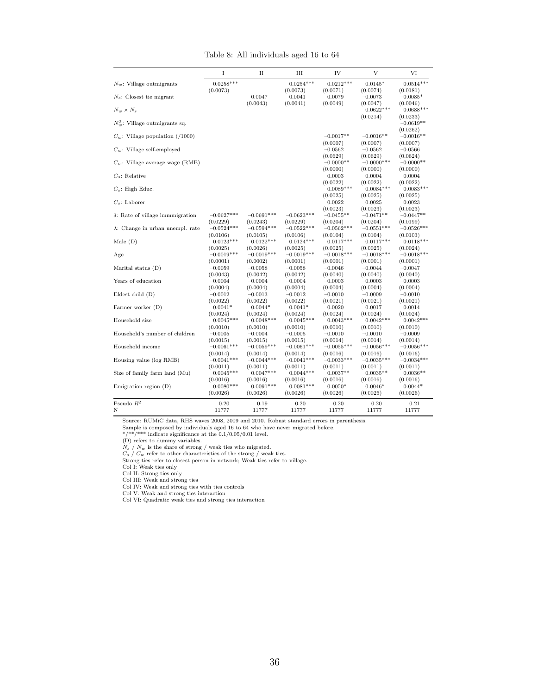|                                          | I                        | $_{\rm II}$              | Ш                        | IV                       | V                        | VI                       |
|------------------------------------------|--------------------------|--------------------------|--------------------------|--------------------------|--------------------------|--------------------------|
| $N_w$ : Village outmigrants              | $0.0258***$              |                          | $0.0254***$              | $0.0212***$              | $0.0145*$                | $0.0514***$              |
|                                          | (0.0073)                 |                          | (0.0073)                 | (0.0071)                 | (0.0074)                 | (0.0181)                 |
| $N_s$ : Closest tie migrant              |                          | 0.0047                   | 0.0041                   | 0.0079                   | $-0.0073$                | $-0.0085*$               |
|                                          |                          | (0.0043)                 | (0.0041)                 | (0.0049)                 | (0.0047)                 | (0.0046)                 |
| $N_w \times N_s$                         |                          |                          |                          |                          | $0.0622***$              | $0.0688***$              |
|                                          |                          |                          |                          |                          | (0.0214)                 | (0.0233)                 |
| $N_m^2$ : Village outmigrants sq.        |                          |                          |                          |                          |                          | $-0.0619**$              |
| $C_w$ : Village population (/1000)       |                          |                          |                          | $-0.0017**$              | $-0.0016**$              | (0.0262)<br>$-0.0016**$  |
|                                          |                          |                          |                          | (0.0007)                 | (0.0007)                 | (0.0007)                 |
| $C_w$ : Village self-employed            |                          |                          |                          | $-0.0562$                | $-0.0562$                | $-0.0566$                |
|                                          |                          |                          |                          | (0.0629)                 | (0.0629)                 | (0.0624)                 |
| $C_w$ : Village average wage (RMB)       |                          |                          |                          | $-0.0000**$              | $-0.0000***$             | $-0.0000**$              |
|                                          |                          |                          |                          | (0.0000)                 | (0.0000)                 | (0.0000)                 |
| $C_s$ : Relative                         |                          |                          |                          | 0.0003                   | 0.0004                   | 0.0004                   |
|                                          |                          |                          |                          | (0.0022)                 | (0.0022)                 | (0.0022)                 |
| $C_s$ : High Educ.                       |                          |                          |                          | $-0.0089***$             | $-0.0084***$             | $-0.0083***$             |
|                                          |                          |                          |                          | (0.0025)                 | (0.0025)                 | (0.0025)                 |
| $C_s$ : Laborer                          |                          |                          |                          | 0.0022                   | 0.0025                   | 0.0023                   |
|                                          |                          |                          |                          | (0.0023)                 | (0.0023)                 | (0.0023)                 |
| $\delta$ : Rate of village immunigration | $-0.0627***$             | $-0.0691***$             | $-0.0623***$             | $-0.0455**$              | $-0.0471**$              | $-0.0447**$              |
| $\lambda$ : Change in urban unempl. rate | (0.0229)<br>$-0.0524***$ | (0.0243)<br>$-0.0594***$ | (0.0229)<br>$-0.0522***$ | (0.0204)<br>$-0.0562***$ | (0.0204)<br>$-0.0551***$ | (0.0199)<br>$-0.0526***$ |
|                                          | (0.0106)                 | (0.0105)                 | (0.0106)                 | (0.0104)                 | (0.0104)                 | (0.0103)                 |
| Male $(D)$                               | $0.0123***$              | $0.0122***$              | $0.0124***$              | $0.0117***$              | $0.0117***$              | $0.0118***$              |
|                                          | (0.0025)                 | (0.0026)                 | (0.0025)                 | (0.0025)                 | (0.0025)                 | (0.0024)                 |
| Age                                      | $-0.0019***$             | $-0.0019***$             | $-0.0019***$             | $-0.0018***$             | $-0.0018***$             | $-0.0018***$             |
|                                          | (0.0001)                 | (0.0002)                 | (0.0001)                 | (0.0001)                 | (0.0001)                 | (0.0001)                 |
| Marital status $(D)$                     | $-0.0059$                | $-0.0058$                | $-0.0058$                | $-0.0046$                | $-0.0044$                | $-0.0047$                |
|                                          | (0.0043)                 | (0.0042)                 | (0.0042)                 | (0.0040)                 | (0.0040)                 | (0.0040)                 |
| Years of education                       | $-0.0004$                | $-0.0004$                | $-0.0004$                | $-0.0003$                | $-0.0003$                | $-0.0003$                |
|                                          | (0.0004)                 | (0.0004)                 | (0.0004)                 | (0.0004)                 | (0.0004)                 | (0.0004)                 |
| Eldest child $(D)$                       | $-0.0012$                | $-0.0013$                | $-0.0012$                | $-0.0010$                | $-0.0009$                | $-0.0010$                |
|                                          | (0.0022)                 | (0.0022)                 | (0.0022)                 | (0.0021)                 | (0.0021)                 | (0.0021)                 |
| Farmer worker (D)                        | $0.0041*$                | $0.0044*$                | $0.0041*$                | 0.0020                   | 0.0017                   | 0.0014                   |
| Household size                           | (0.0024)<br>$0.0045***$  | (0.0024)<br>$0.0048***$  | (0.0024)<br>$0.0045***$  | (0.0024)<br>$0.0043***$  | (0.0024)<br>$0.0042***$  | (0.0024)<br>$0.0042***$  |
|                                          | (0.0010)                 | (0.0010)                 | (0.0010)                 | (0.0010)                 | (0.0010)                 | (0.0010)                 |
| Household's number of children           | $-0.0005$                | $-0.0004$                | $-0.0005$                | $-0.0010$                | $-0.0010$                | $-0.0009$                |
|                                          | (0.0015)                 | (0.0015)                 | (0.0015)                 | (0.0014)                 | (0.0014)                 | (0.0014)                 |
| Household income                         | $-0.0061***$             | $-0.0059***$             | $-0.0061***$             | $-0.0055***$             | $-0.0056***$             | $-0.0056***$             |
|                                          | (0.0014)                 | (0.0014)                 | (0.0014)                 | (0.0016)                 | (0.0016)                 | (0.0016)                 |
| Housing value (log RMB)                  | $-0.0041***$             | $-0.0044***$             | $-0.0041***$             | $-0.0033***$             | $-0.0035***$             | $-0.0034***$             |
|                                          | (0.0011)                 | (0.0011)                 | (0.0011)                 | (0.0011)                 | (0.0011)                 | (0.0011)                 |
| Size of family farm land (Mu)            | $0.0045***$              | $0.0047***$              | $0.0044***$              | $0.0037**$               | $0.0035**$               | $0.0036**$               |
|                                          | (0.0016)                 | (0.0016)                 | (0.0016)                 | (0.0016)                 | (0.0016)                 | (0.0016)                 |
| Emigration region $(D)$                  | $0.0080***$              | $0.0091***$              | $0.0081***$              | $0.0050*$                | $0.0046*$                | $0.0044*$                |
|                                          | (0.0026)                 | (0.0026)                 | (0.0026)                 | (0.0026)                 | (0.0026)                 | (0.0026)                 |
| Pseudo $\mathbb{R}^2$                    | 0.20                     | 0.19                     | 0.20                     | 0.20                     | 0.20                     | 0.21                     |
| Ν                                        | 11777                    | 11777                    | 11777                    | 11777                    | 11777                    | 11777                    |

Table 8: All individuals aged 16 to 64

Sample is composed by individuals aged 16 to 64 who have never migrated before.<br>\*/\*\*/\*\*\* indicate significance at the 0.1/0.05/0.01 level.<br>(D) refers to dummy variables.<br> $N_s$  /  $N_w$  is the share of strong / weak ties who

Col II: Strong ties only Col III: Weak and strong ties Col IV: Weak and strong ties with ties controls Col V: Weak and strong ties interaction

Col VI: Quadratic weak ties and strong ties interaction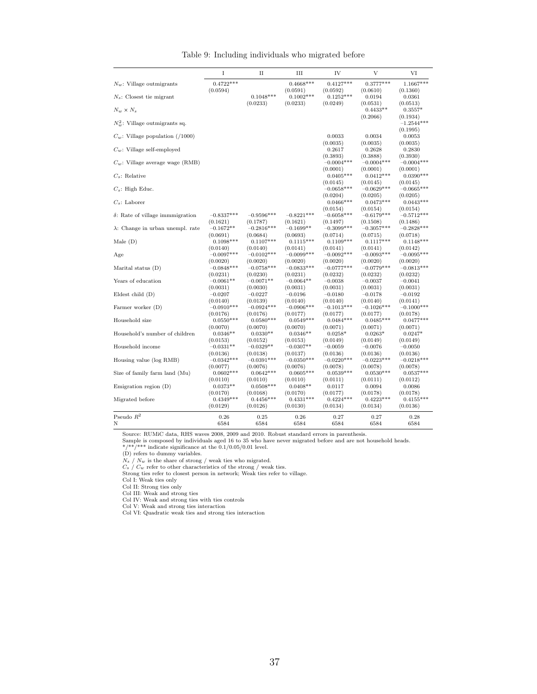|                                          | I                        | $_{\rm II}$              | Ш                        | IV                       | V                        | VI                       |
|------------------------------------------|--------------------------|--------------------------|--------------------------|--------------------------|--------------------------|--------------------------|
| $N_w$ : Village outmigrants              | $0.4722***$              |                          | $0.4668***$              | $0.4127***$              | $0.3777***$              | $1.1667***$              |
|                                          | (0.0594)                 |                          | (0.0591)                 | (0.0592)                 | (0.0610)                 | (0.1360)                 |
| $N_s$ : Closest tie migrant              |                          | $0.1048***$              | $0.1002***$              | $0.1252***$              | 0.0194                   | 0.0361                   |
|                                          |                          | (0.0233)                 | (0.0233)                 | (0.0249)                 | (0.0531)                 | (0.0513)                 |
| $N_w \times N_s$                         |                          |                          |                          |                          | $0.4433**$               | $0.3557*$                |
|                                          |                          |                          |                          |                          | (0.2066)                 | (0.1934)                 |
| $N_{\rm so}^2$ : Village outmigrants sq. |                          |                          |                          |                          |                          | $-1.2544***$<br>(0.1995) |
| $C_w$ : Village population (/1000)       |                          |                          |                          | 0.0033                   | 0.0034                   | 0.0053                   |
|                                          |                          |                          |                          | (0.0035)                 | (0.0035)                 | (0.0035)                 |
| $C_w$ : Village self-employed            |                          |                          |                          | 0.2617                   | 0.2628                   | 0.2830                   |
|                                          |                          |                          |                          | (0.3893)                 | (0.3888)                 | (0.3930)                 |
| $C_w$ : Village average wage (RMB)       |                          |                          |                          | $-0.0004***$             | $-0.0004***$             | $-0.0004***$             |
|                                          |                          |                          |                          | (0.0001)                 | (0.0001)                 | (0.0001)                 |
| $C_s$ : Relative                         |                          |                          |                          | $0.0405***$              | $0.0412***$              | $0.0390***$              |
| $C_s$ : High Educ.                       |                          |                          |                          | (0.0145)<br>$-0.0658***$ | (0.0145)<br>$-0.0629***$ | (0.0145)<br>$-0.0665***$ |
|                                          |                          |                          |                          | (0.0204)                 | (0.0205)                 | (0.0205)                 |
| $C_s$ : Laborer                          |                          |                          |                          | $0.0466***$              | $0.0473***$              | $0.0443***$              |
|                                          |                          |                          |                          | (0.0154)                 | (0.0154)                 | (0.0154)                 |
| $\delta$ : Rate of village immunigration | $-0.8337***$             | $-0.9596***$             | $-0.8221***$             | $-0.6058***$             | $-0.6179***$             | $-0.5712***$             |
|                                          | (0.1621)                 | (0.1787)                 | (0.1621)                 | (0.1497)                 | (0.1508)                 | (0.1486)                 |
| $\lambda$ : Change in urban unempl. rate | $-0.1672**$              | $-0.2816***$             | $-0.1699**$              | $-0.3099***$             | $-0.3057***$             | $-0.2828***$             |
| Male $(D)$                               | (0.0691)<br>$0.1098***$  | (0.0684)<br>$0.1107***$  | (0.0693)<br>$0.1115***$  | (0.0714)<br>$0.1109***$  | (0.0715)<br>$0.1117***$  | (0.0718)<br>$0.1148***$  |
|                                          | (0.0140)                 | (0.0140)                 | (0.0141)                 | (0.0141)                 | (0.0141)                 | (0.0142)                 |
| Age                                      | $-0.0097***$             | $-0.0102***$             | $-0.0099***$             | $-0.0092***$             | $-0.0093***$             | $-0.0095***$             |
|                                          | (0.0020)                 | (0.0020)                 | (0.0020)                 | (0.0020)                 | (0.0020)                 | (0.0020)                 |
| Marital status $(D)$                     | $-0.0848***$             | $-0.0758***$             | $-0.0833***$             | $-0.0777***$             | $-0.0779***$             | $-0.0813***$             |
|                                          | (0.0231)                 | (0.0230)                 | (0.0231)                 | (0.0232)                 | (0.0232)                 | (0.0232)                 |
| Years of education                       | $-0.0061**$              | $-0.0071**$              | $-0.0064**$              | $-0.0038$                | $-0.0037$                | $-0.0041$                |
|                                          | (0.0031)                 | (0.0030)                 | (0.0031)                 | (0.0031)                 | (0.0031)                 | (0.0031)                 |
| Eldest child $(D)$                       | $-0.0207$                | $-0.0227$                | $-0.0196$                | $-0.0180$                | $-0.0178$                | $-0.0192$                |
| Farmer worker (D)                        | (0.0140)<br>$-0.0910***$ | (0.0139)<br>$-0.0924***$ | (0.0140)<br>$-0.0906***$ | (0.0140)<br>$-0.1013***$ | (0.0140)<br>$-0.1026***$ | (0.0141)<br>$-0.1000***$ |
|                                          | (0.0176)                 | (0.0176)                 | (0.0177)                 | (0.0177)                 | (0.0177)                 | (0.0178)                 |
| Household size                           | $0.0550***$              | $0.0580***$              | $0.0549***$              | $0.0484***$              | $0.0485***$              | $0.0477***$              |
|                                          | (0.0070)                 | (0.0070)                 | (0.0070)                 | (0.0071)                 | (0.0071)                 | (0.0071)                 |
| Household's number of children           | $0.0346**$               | $0.0330**$               | $0.0346**$               | $0.0258*$                | $0.0263*$                | $0.0247*$                |
|                                          | (0.0153)                 | (0.0152)                 | (0.0153)                 | (0.0149)                 | (0.0149)                 | (0.0149)                 |
| Household income                         | $-0.0331**$              | $-0.0329**$              | $-0.0307**$              | $-0.0059$                | $-0.0076$                | $-0.0050$                |
|                                          | (0.0136)<br>$-0.0342***$ | (0.0138)                 | (0.0137)<br>$-0.0350***$ | (0.0136)                 | (0.0136)<br>$-0.0223***$ | (0.0136)                 |
| Housing value (log RMB)                  | (0.0077)                 | $-0.0391***$<br>(0.0076) | (0.0076)                 | $-0.0220***$<br>(0.0078) | (0.0078)                 | $-0.0218***$<br>(0.0078) |
| Size of family farm land (Mu)            | $0.0602***$              | $0.0642***$              | $0.0605***$              | $0.0539***$              | $0.0530***$              | $0.0537***$              |
|                                          | (0.0110)                 | (0.0110)                 | (0.0110)                 | (0.0111)                 | (0.0111)                 | (0.0112)                 |
| Emigration region $(D)$                  | $0.0373**$               | $0.0508***$              | $0.0408**$               | 0.0117                   | 0.0094                   | 0.0086                   |
|                                          | (0.0170)                 | (0.0168)                 | (0.0170)                 | (0.0177)                 | (0.0178)                 | (0.0178)                 |
| Migrated before                          | $0.4349***$              | $0.4456***$              | $0.4331***$              | $0.4224***$              | $0.4223***$              | $0.4155***$              |
|                                          | (0.0129)                 | (0.0126)                 | (0.0130)                 | (0.0134)                 | (0.0134)                 | (0.0136)                 |
| Pseudo $R^2$                             | 0.26                     | 0.25                     | 0.26                     | 0.27                     | 0.27                     | 0.28                     |
| Ν                                        | 6584                     | 6584                     | 6584                     | 6584                     | 6584                     | 6584                     |

Table 9: Including individuals who migrated before

Source: RUMiC data, RHS waves 2008, 2009 and 2010. Robust standard errors in parenthesis.<br>Sample is composed by individuals aged 16 to 35 who have never migrated before and are not household heads.<br> $*/**/**$  indicate signif

 $N_s$  /  $N_w$  is the share of strong / weak ties who migrated.<br>  $C_s$  /  $C_w$  refer to other characteristics of the strong / weak ties.<br>
Strong ties refer to closest person in network; Weak ties refer to village.<br>
Col II: Wea

Col V: Weak and strong ties interaction Col VI: Quadratic weak ties and strong ties interaction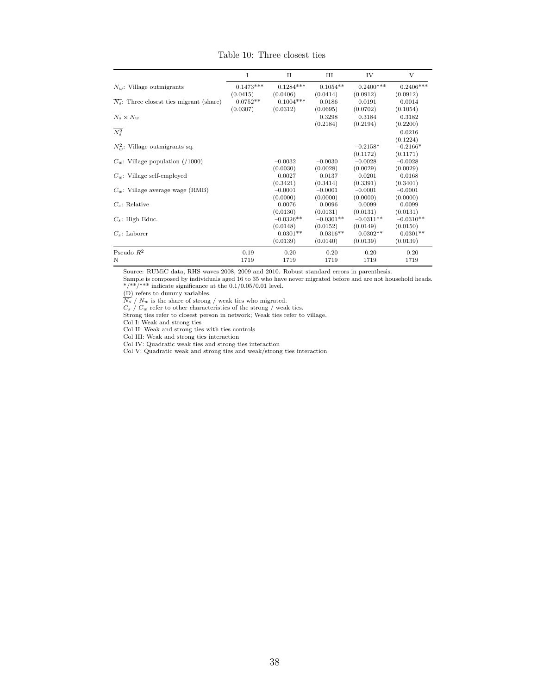|                                                       | Ι           | $_{\rm II}$ | Ш           | IV          | V           |
|-------------------------------------------------------|-------------|-------------|-------------|-------------|-------------|
| $N_w$ : Village outmigrants                           | $0.1473***$ | $0.1284***$ | $0.1054**$  | $0.2400***$ | $0.2406***$ |
|                                                       | (0.0415)    | (0.0406)    | (0.0414)    | (0.0912)    | (0.0912)    |
| $\overline{N_s}$ : Three closest ties migrant (share) | $0.0752**$  | $0.1004***$ | 0.0186      | 0.0191      | 0.0014      |
|                                                       | (0.0307)    | (0.0312)    | (0.0695)    | (0.0702)    | (0.1054)    |
| $\overline{N_s}\times N_w$                            |             |             | 0.3298      | 0.3184      | 0.3182      |
|                                                       |             |             | (0.2184)    | (0.2194)    | (0.2200)    |
| $\overline{N_s^2}$                                    |             |             |             |             | 0.0216      |
|                                                       |             |             |             |             | (0.1224)    |
| $N_{w}^{2}$ : Village outmigrants sq.                 |             |             |             | $-0.2158*$  | $-0.2166*$  |
|                                                       |             |             |             | (0.1172)    | (0.1171)    |
| $C_w$ : Village population (/1000)                    |             | $-0.0032$   | $-0.0030$   | $-0.0028$   | $-0.0028$   |
|                                                       |             | (0.0030)    | (0.0028)    | (0.0029)    | (0.0029)    |
| $C_w$ : Village self-employed                         |             | 0.0027      | 0.0137      | 0.0201      | 0.0168      |
|                                                       |             | (0.3421)    | (0.3414)    | (0.3391)    | (0.3401)    |
| $C_w$ : Village average wage (RMB)                    |             | $-0.0001$   | $-0.0001$   | $-0.0001$   | $-0.0001$   |
|                                                       |             | (0.0000)    | (0.0000)    | (0.0000)    | (0.0000)    |
| $C_s$ : Relative                                      |             | 0.0076      | 0.0096      | 0.0099      | 0.0099      |
|                                                       |             | (0.0130)    | (0.0131)    | (0.0131)    | (0.0131)    |
| $C_s$ : High Educ.                                    |             | $-0.0326**$ | $-0.0301**$ | $-0.0311**$ | $-0.0310**$ |
|                                                       |             | (0.0148)    | (0.0152)    | (0.0149)    | (0.0150)    |
| $C_s$ : Laborer                                       |             | $0.0301**$  | $0.0316**$  | $0.0302**$  | $0.0301**$  |
|                                                       |             | (0.0139)    | (0.0140)    | (0.0139)    | (0.0139)    |
| Pseudo $R^2$                                          | 0.19        | 0.20        | 0.20        | 0.20        | 0.20        |
| N                                                     | 1719        | 1719        | 1719        | 1719        | 1719        |

Table 10: Three closest ties

Sample is composed by individuals aged 16 to 35 who have never migrated before and are not household heads. \*/\*\*/\*\*\* indicate significance at the 0.1/0.05/0.01 level.

(D) refers to dummy variables.

 $\overline{N_s}$  /  $N_w$  is the share of strong / weak ties who migrated.

 $C_s$  /  $C_w$  refer to other characteristics of the strong / weak ties.<br>Strong ties refer to closest person in network; Weak ties refer to village.

Col I: Weak and strong ties

Col II: Weak and strong ties with ties controls

Col III: Weak and strong ties interaction

Col IV: Quadratic weak ties and strong ties interaction

Col V: Quadratic weak and strong ties and weak/strong ties interaction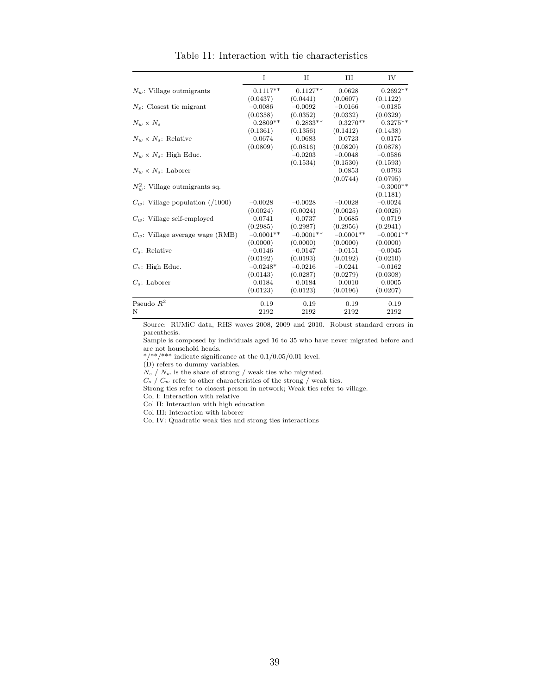|                                    | T           | Π           | Ш           | IV          |
|------------------------------------|-------------|-------------|-------------|-------------|
|                                    |             |             |             |             |
| $N_w$ : Village outmigrants        | $0.1117**$  | $0.1127**$  | 0.0628      | $0.2692**$  |
|                                    | (0.0437)    | (0.0441)    | (0.0607)    | (0.1122)    |
| $N_s$ : Closest tie migrant        | $-0.0086$   | $-0.0092$   | $-0.0166$   | $-0.0185$   |
|                                    | (0.0358)    | (0.0352)    | (0.0332)    | (0.0329)    |
| $N_w \times N_s$                   | $0.2809**$  | $0.2833**$  | $0.3270**$  | $0.3275**$  |
|                                    | (0.1361)    | (0.1356)    | (0.1412)    | (0.1438)    |
| $N_w \times N_s$ : Relative        | 0.0674      | 0.0683      | 0.0723      | 0.0175      |
|                                    | (0.0809)    | (0.0816)    | (0.0820)    | (0.0878)    |
| $N_w \times N_s$ : High Educ.      |             | $-0.0203$   | $-0.0048$   | $-0.0586$   |
|                                    |             | (0.1534)    | (0.1530)    | (0.1593)    |
| $N_w \times N_s$ : Laborer         |             |             | 0.0853      | 0.0793      |
|                                    |             |             | (0.0744)    | (0.0795)    |
| $N_w^2$ : Village outmigrants sq.  |             |             |             | $-0.3000**$ |
|                                    |             |             |             | (0.1181)    |
| $C_w$ : Village population (/1000) | $-0.0028$   | $-0.0028$   | $-0.0028$   | $-0.0024$   |
|                                    | (0.0024)    | (0.0024)    | (0.0025)    | (0.0025)    |
| $C_w$ : Village self-employed      | 0.0741      | 0.0737      | 0.0685      | 0.0719      |
|                                    | (0.2985)    | (0.2987)    | (0.2956)    | (0.2941)    |
| $C_w$ : Village average wage (RMB) | $-0.0001**$ | $-0.0001**$ | $-0.0001**$ | $-0.0001**$ |
|                                    | (0.0000)    | (0.0000)    | (0.0000)    | (0.0000)    |
| $C_s$ : Relative                   | $-0.0146$   | $-0.0147$   | $-0.0151$   | $-0.0045$   |
|                                    | (0.0192)    | (0.0193)    | (0.0192)    | (0.0210)    |
| $C_s$ : High Educ.                 | $-0.0248*$  | $-0.0216$   | $-0.0241$   | $-0.0162$   |
|                                    | (0.0143)    | (0.0287)    | (0.0279)    | (0.0308)    |
| $C_s$ : Laborer                    | 0.0184      | 0.0184      | 0.0010      | 0.0005      |
|                                    | (0.0123)    | (0.0123)    | (0.0196)    | (0.0207)    |
| Pseudo $R^2$                       | 0.19        | 0.19        | 0.19        | 0.19        |
| N                                  | 2192        | 2192        | 2192        | 2192        |

Table 11: Interaction with tie characteristics

Sample is composed by individuals aged 16 to 35 who have never migrated before and are not household heads.

 $*/**/***$  indicate significance at the  $0.1/0.05/0.01$  level.

 $(D)$  refers to dummy variables.

 $\overline{N_s}$  /  $N_w$  is the share of strong / weak ties who migrated.

 $C_s$  /  $C_w$  refer to other characteristics of the strong / weak ties.

Strong ties refer to closest person in network; Weak ties refer to village.

Col I: Interaction with relative

Col II: Interaction with high education

Col III: Interaction with laborer

Col IV: Quadratic weak ties and strong ties interactions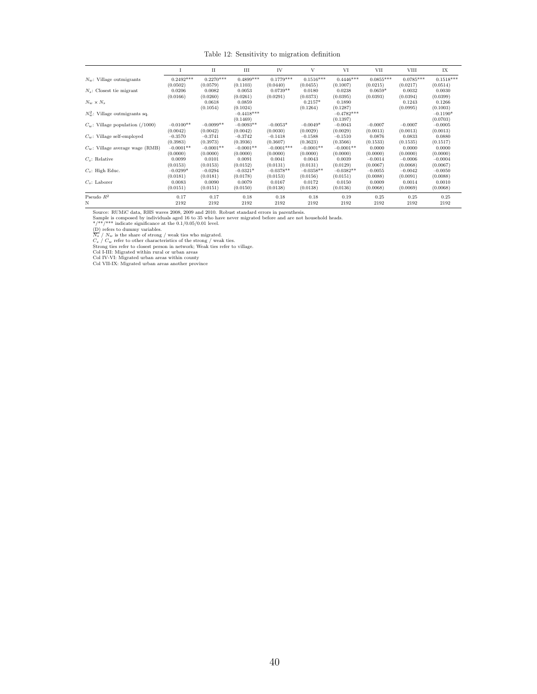#### Table 12: Sensitivity to migration definition

|                                    | 1           | П           | Ш            | IV           | V           | VI           | VII         | VIII        | IX          |
|------------------------------------|-------------|-------------|--------------|--------------|-------------|--------------|-------------|-------------|-------------|
| $N_w$ : Village outmigrants        | $0.2492***$ | $0.2270***$ | $0.4899***$  | $0.1779***$  | $0.1516***$ | $0.4446***$  | $0.0855***$ | $0.0785***$ | $0.1518***$ |
|                                    | (0.0502)    | (0.0579)    | (0.1103)     | (0.0440)     | (0.0455)    | (0.1007)     | (0.0215)    | (0.0217)    | (0.0514)    |
| $N_s$ : Closest tie migrant        | 0.0206      | 0.0082      | 0.0053       | $0.0739**$   | 0.0180      | 0.0238       | $0.0659*$   | 0.0032      | 0.0030      |
|                                    | (0.0166)    | (0.0260)    | (0.0261)     | (0.0291)     | (0.0373)    | (0.0395)     | (0.0393)    | (0.0394)    | (0.0399)    |
| $N_w \times N_s$                   |             | 0.0618      | 0.0859       |              | $0.2157*$   | 0.1890       |             | 0.1243      | 0.1266      |
|                                    |             | (0.1054)    | (0.1024)     |              | (0.1264)    | (0.1287)     |             | (0.0995)    | (0.1003)    |
| $N_w^2$ : Village outmigrants sq.  |             |             | $-0.4418***$ |              |             | $-0.4782***$ |             |             | $-0.1190*$  |
|                                    |             |             | (0.1469)     |              |             | (0.1397)     |             |             | (0.0703)    |
| $C_w$ : Village population (/1000) | $-0.0100**$ | $-0.0099**$ | $-0.0093**$  | $-0.0053*$   | $-0.0049*$  | $-0.0043$    | $-0.0007$   | $-0.0007$   | $-0.0005$   |
|                                    | (0.0042)    | (0.0042)    | (0.0042)     | (0.0030)     | (0.0029)    | (0.0029)     | (0.0013)    | (0.0013)    | (0.0013)    |
| $C_w$ : Village self-employed      | $-0.3570$   | $-0.3741$   | $-0.3742$    | $-0.1418$    | $-0.1588$   | $-0.1510$    | 0.0876      | 0.0833      | 0.0880      |
|                                    | (0.3983)    | (0.3973)    | (0.3936)     | (0.3607)     | (0.3623)    | (0.3566)     | (0.1533)    | (0.1535)    | (0.1517)    |
| $C_w$ : Village average wage (RMB) | $-0.0001**$ | $-0.0001**$ | $-0.0001**$  | $-0.0001***$ | $-0.0001**$ | $-0.0001**$  | 0.0000      | 0.0000      | 0.0000      |
|                                    | (0.0000)    | (0.0000)    | (0.0000)     | (0.0000)     | (0.0000)    | (0.0000)     | (0.0000)    | (0.0000)    | (0.0000)    |
| $C_s$ : Relative                   | 0.0099      | 0.0101      | 0.0091       | 0.0041       | 0.0043      | 0.0039       | $-0.0014$   | $-0.0006$   | $-0.0004$   |
|                                    | (0.0153)    | (0.0153)    | (0.0152)     | (0.0131)     | (0.0131)    | (0.0129)     | (0.0067)    | (0.0068)    | (0.0067)    |
| $C_s$ : High Educ.                 | $-0.0299*$  | $-0.0294$   | $-0.0321*$   | $-0.0378**$  | $-0.0358**$ | $-0.0382**$  | $-0.0055$   | $-0.0042$   | $-0.0050$   |
|                                    | (0.0181)    | (0.0181)    | (0.0178)     | (0.0153)     | (0.0156)    | (0.0151)     | (0.0088)    | (0.0091)    | (0.0088)    |
| $C_s$ : Laborer                    | 0.0083      | 0.0090      | 0.0079       | 0.0167       | 0.0172      | 0.0150       | 0.0009      | 0.0014      | 0.0010      |
|                                    | (0.0151)    | (0.0151)    | (0.0150)     | (0.0138)     | (0.0138)    | (0.0136)     | (0.0068)    | (0.0069)    | (0.0068)    |
| Pseudo $R^2$                       | 0.17        | 0.17        | 0.18         | 0.18         | 0.18        | 0.19         | 0.25        | 0.25        | 0.25        |
| Ν                                  | 2192        | 2192        | 2192         | 2192         | 2192        | 2192         | 2192        | 2192        | 2192        |

Source: RUMiC data, RHS waves 2008, 2009 and 2010. Robust standard errors in parenthesis.<br>Sample is composed by individuals aged 16 to 35 who have never migrated before and are not household heads.<br> $\frac{m}{\sqrt{1 + n}}$  increase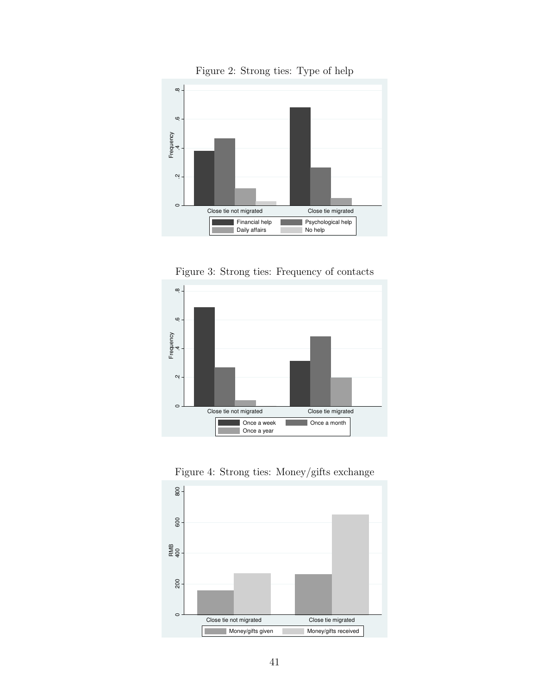